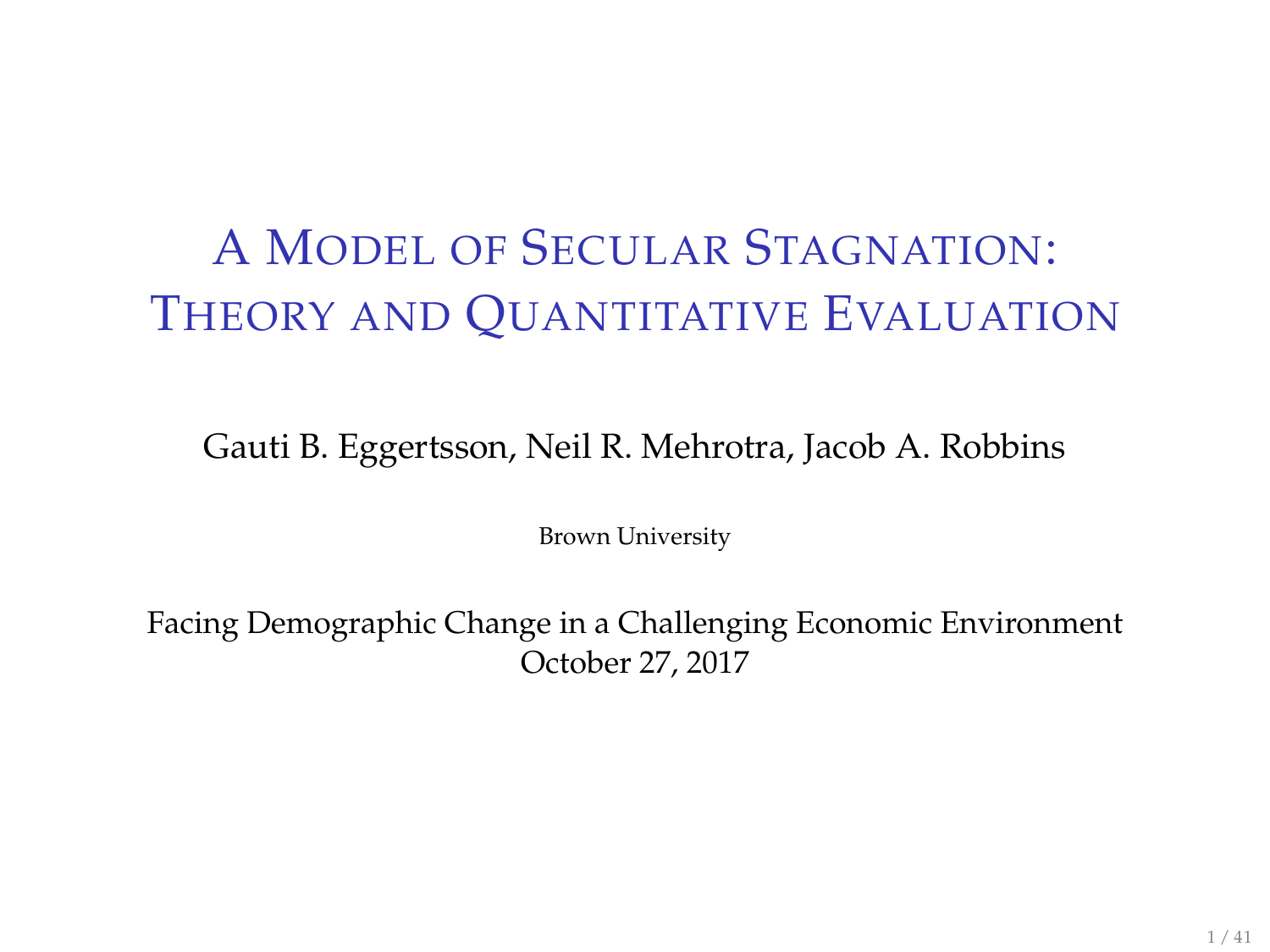# <span id="page-0-0"></span>A MODEL OF SECULAR STAGNATION: THEORY AND QUANTITATIVE EVALUATION

Gauti B. Eggertsson, Neil R. Mehrotra, Jacob A. Robbins

Brown University

Facing Demographic Change in a Challenging Economic Environment October 27, 2017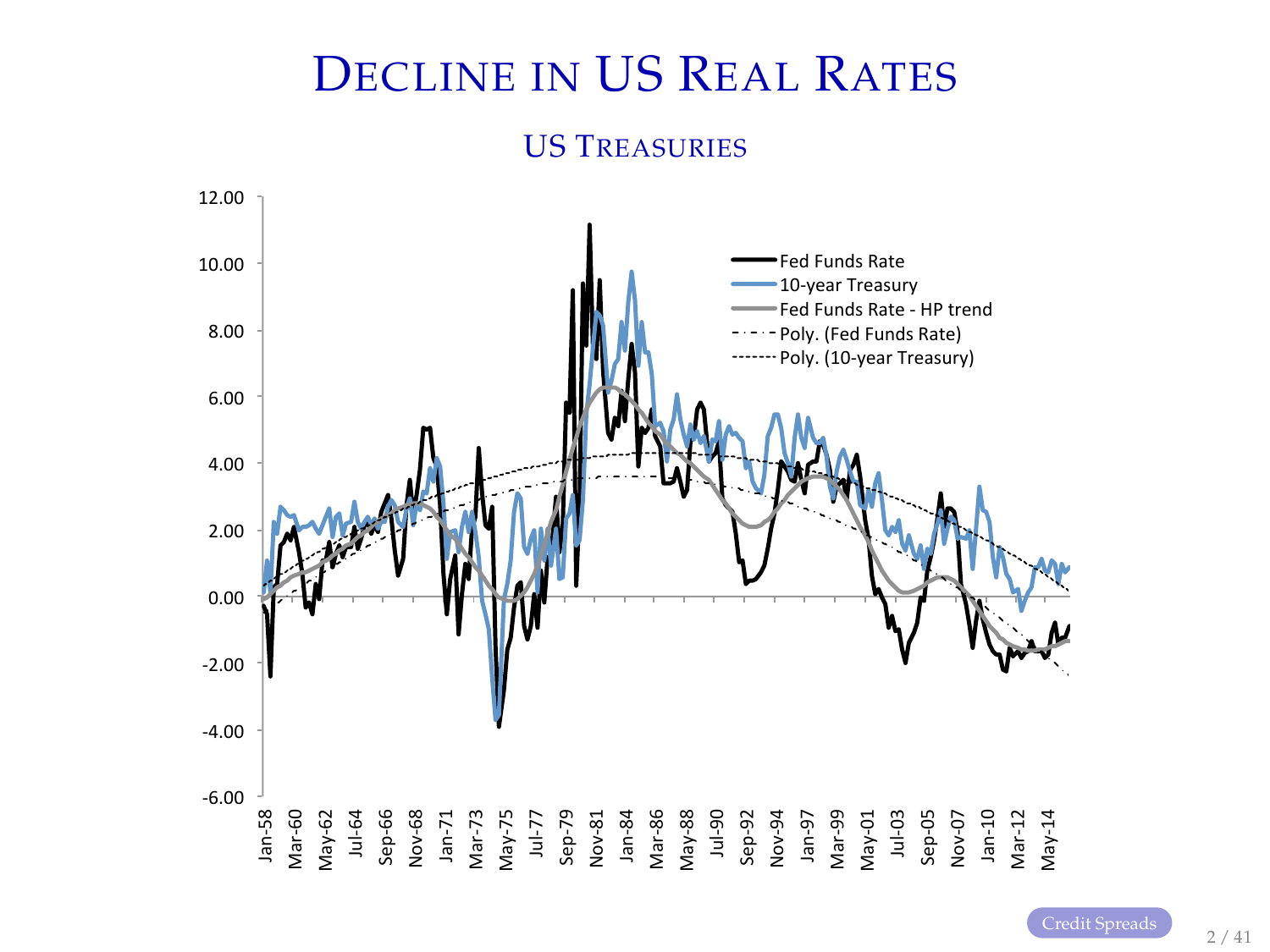# DECLINE IN US REAL RATES

#### US TREASURIES

<span id="page-1-0"></span>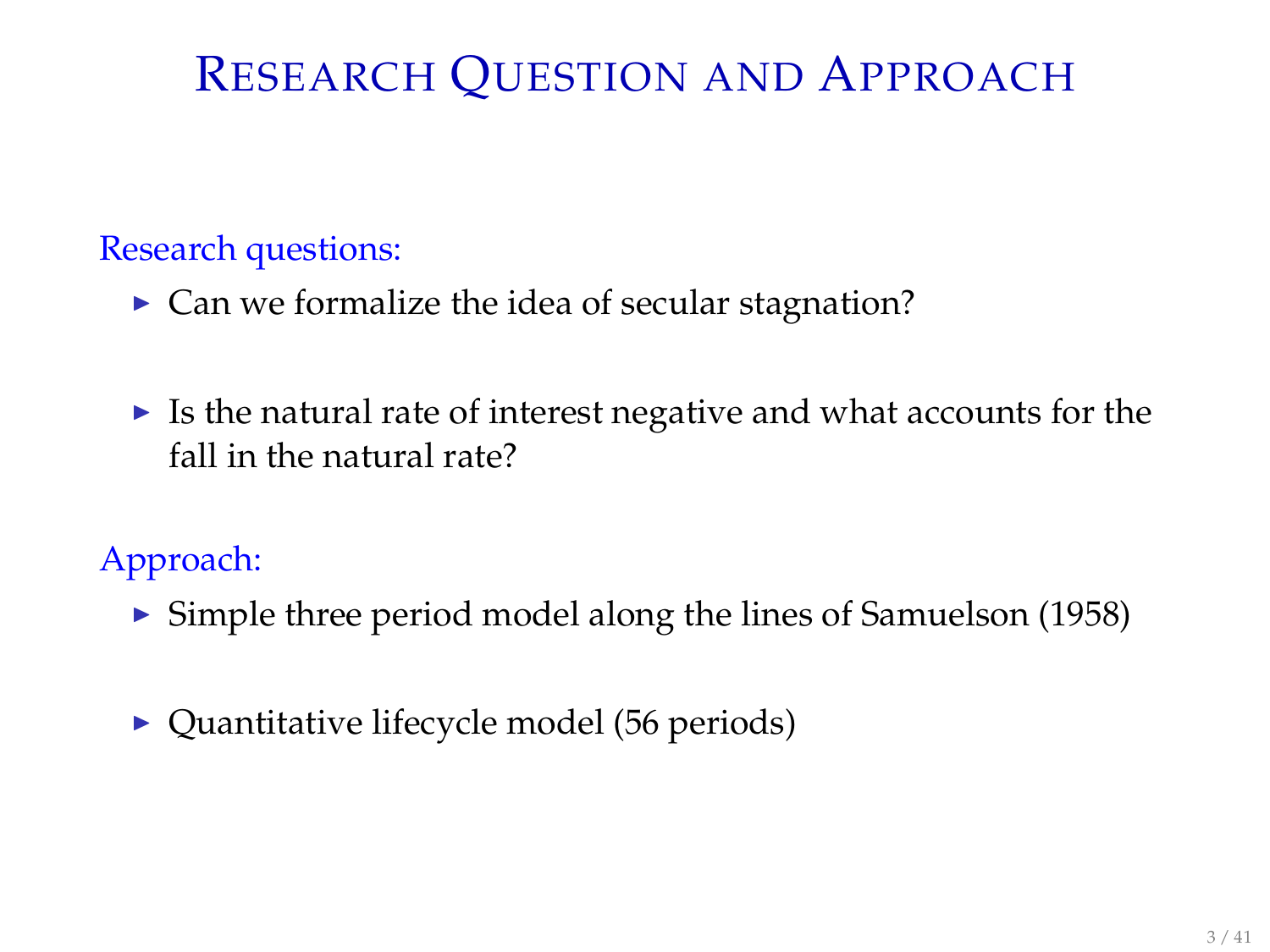# RESEARCH QUESTION AND APPROACH

#### Research questions:

- $\triangleright$  Can we formalize the idea of secular stagnation?
- $\triangleright$  Is the natural rate of interest negative and what accounts for the fall in the natural rate?

Approach:

- $\triangleright$  Simple three period model along the lines of Samuelson (1958)
- $\triangleright$  Quantitative lifecycle model (56 periods)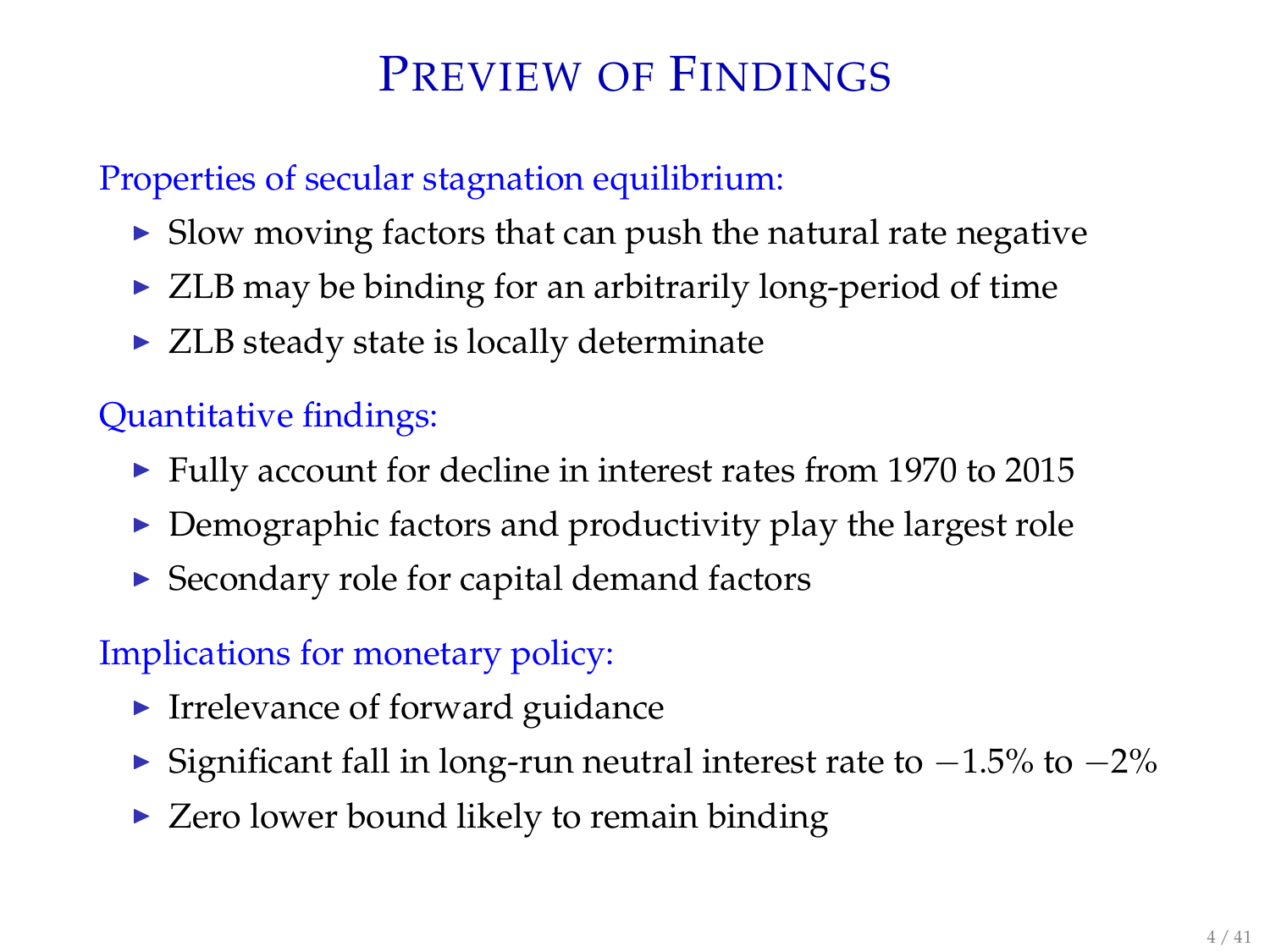# PREVIEW OF FINDINGS

### Properties of secular stagnation equilibrium:

- $\triangleright$  Slow moving factors that can push the natural rate negative
- $\triangleright$  ZLB may be binding for an arbitrarily long-period of time
- $\triangleright$  ZLB steady state is locally determinate

### Quantitative findings:

- $\blacktriangleright$  Fully account for decline in interest rates from 1970 to 2015
- $\triangleright$  Demographic factors and productivity play the largest role
- $\triangleright$  Secondary role for capital demand factors

### Implications for monetary policy:

- $\blacktriangleright$  Irrelevance of forward guidance
- $\blacktriangleright$  Significant fall in long-run neutral interest rate to  $-1.5\%$  to  $-2\%$
- $\triangleright$  Zero lower bound likely to remain binding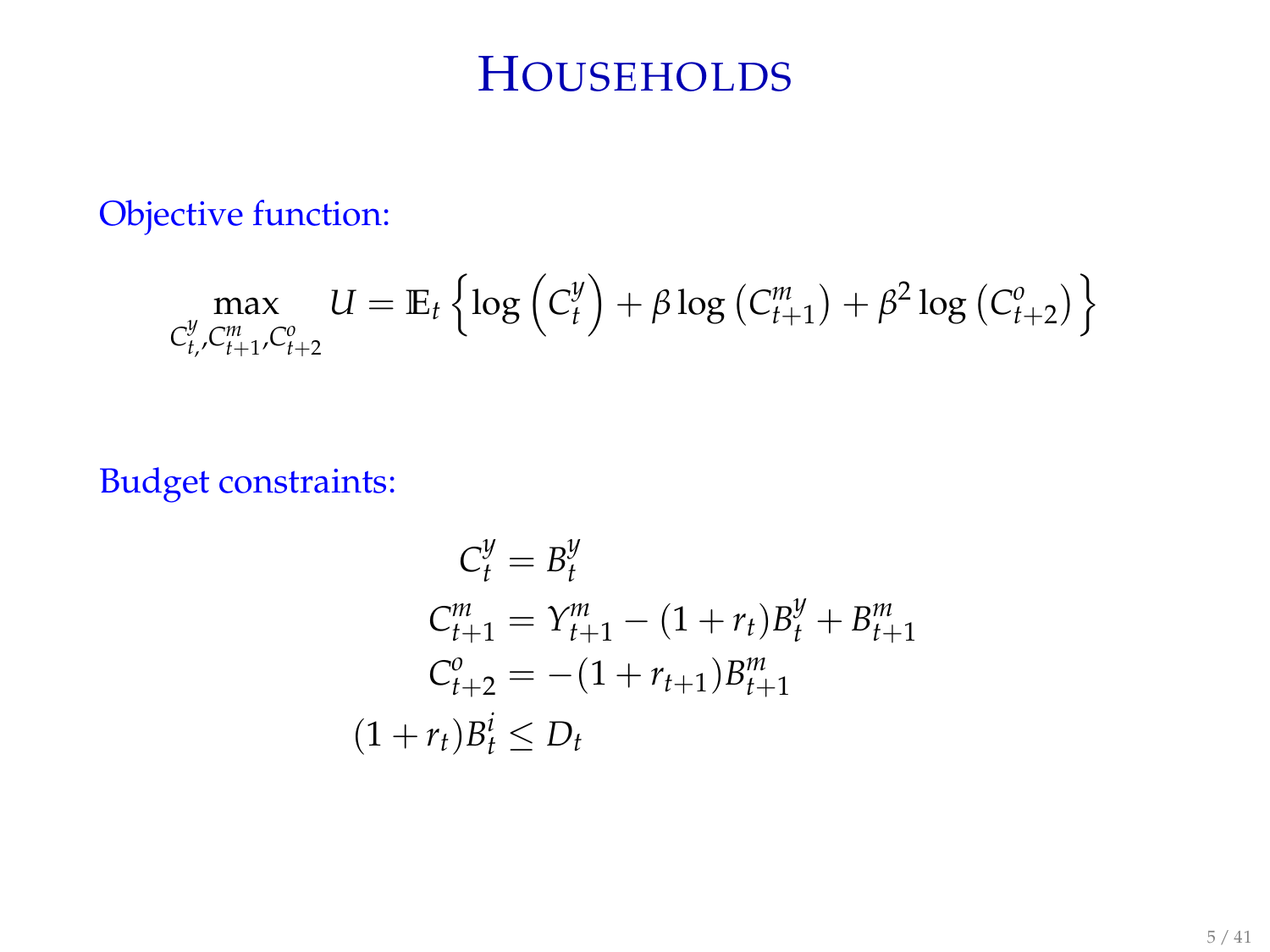## **HOUSEHOLDS**

Objective function:

$$
\max_{C_{t}^{\mathcal{Y}}, C_{t+1}^m, C_{t+2}^o} U = \mathbb{E}_t \left\{ \log \left( C_t^{\mathcal{Y}} \right) + \beta \log \left( C_{t+1}^m \right) + \beta^2 \log \left( C_{t+2}^o \right) \right\}
$$

Budget constraints:

$$
C_t^y = B_t^y
$$
  
\n
$$
C_{t+1}^m = Y_{t+1}^m - (1 + r_t)B_t^y + B_{t+1}^m
$$
  
\n
$$
C_{t+2}^0 = -(1 + r_{t+1})B_{t+1}^m
$$
  
\n
$$
(1 + r_t)B_t^i \le D_t
$$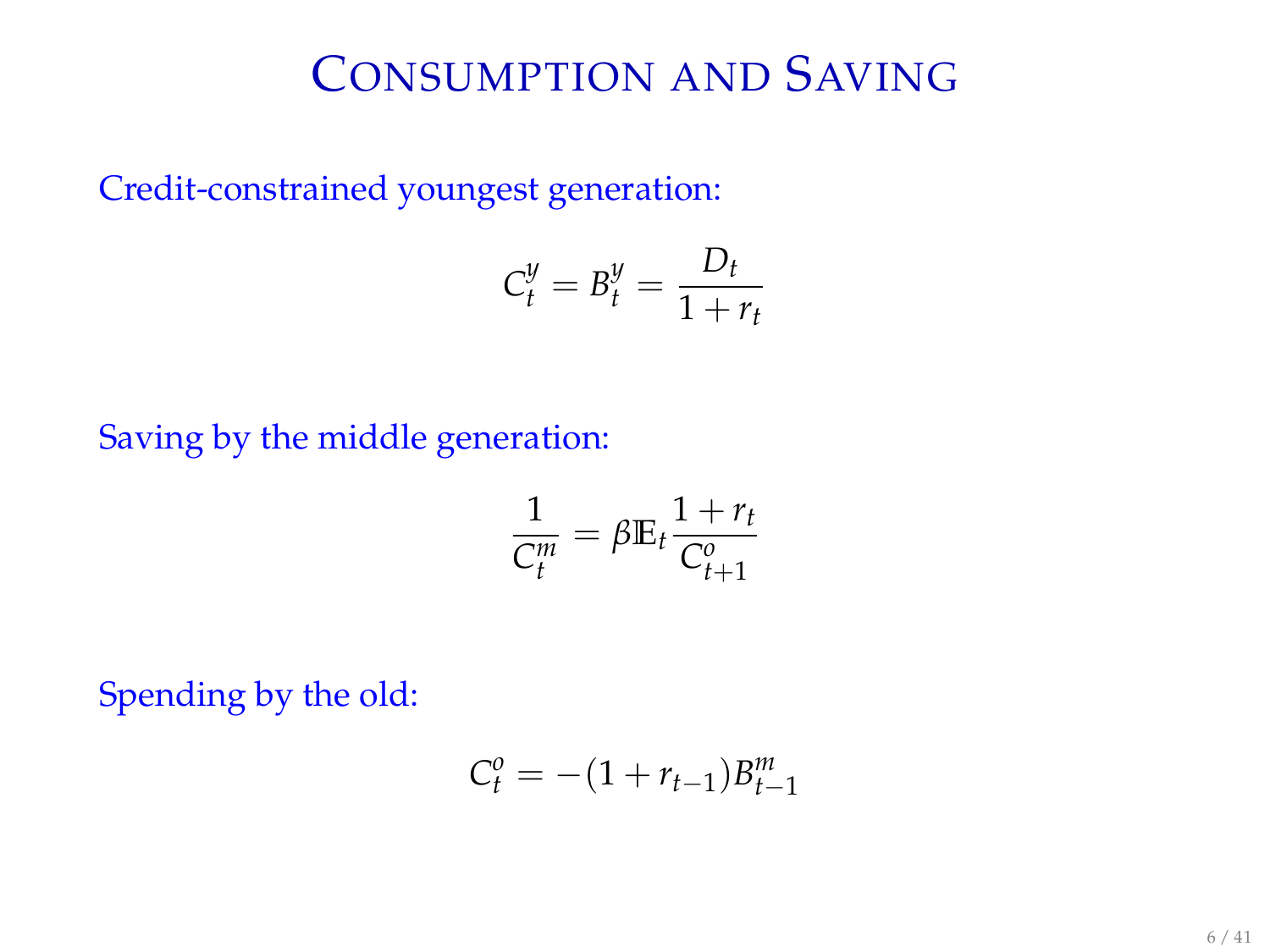# CONSUMPTION AND SAVING

Credit-constrained youngest generation:

$$
C_t^y = B_t^y = \frac{D_t}{1 + r_t}
$$

#### Saving by the middle generation:

$$
\frac{1}{C_t^m} = \beta \mathbb{E}_t \frac{1 + r_t}{C_{t+1}^o}
$$

Spending by the old:

$$
C_t^o = -(1 + r_{t-1})B_{t-1}^m
$$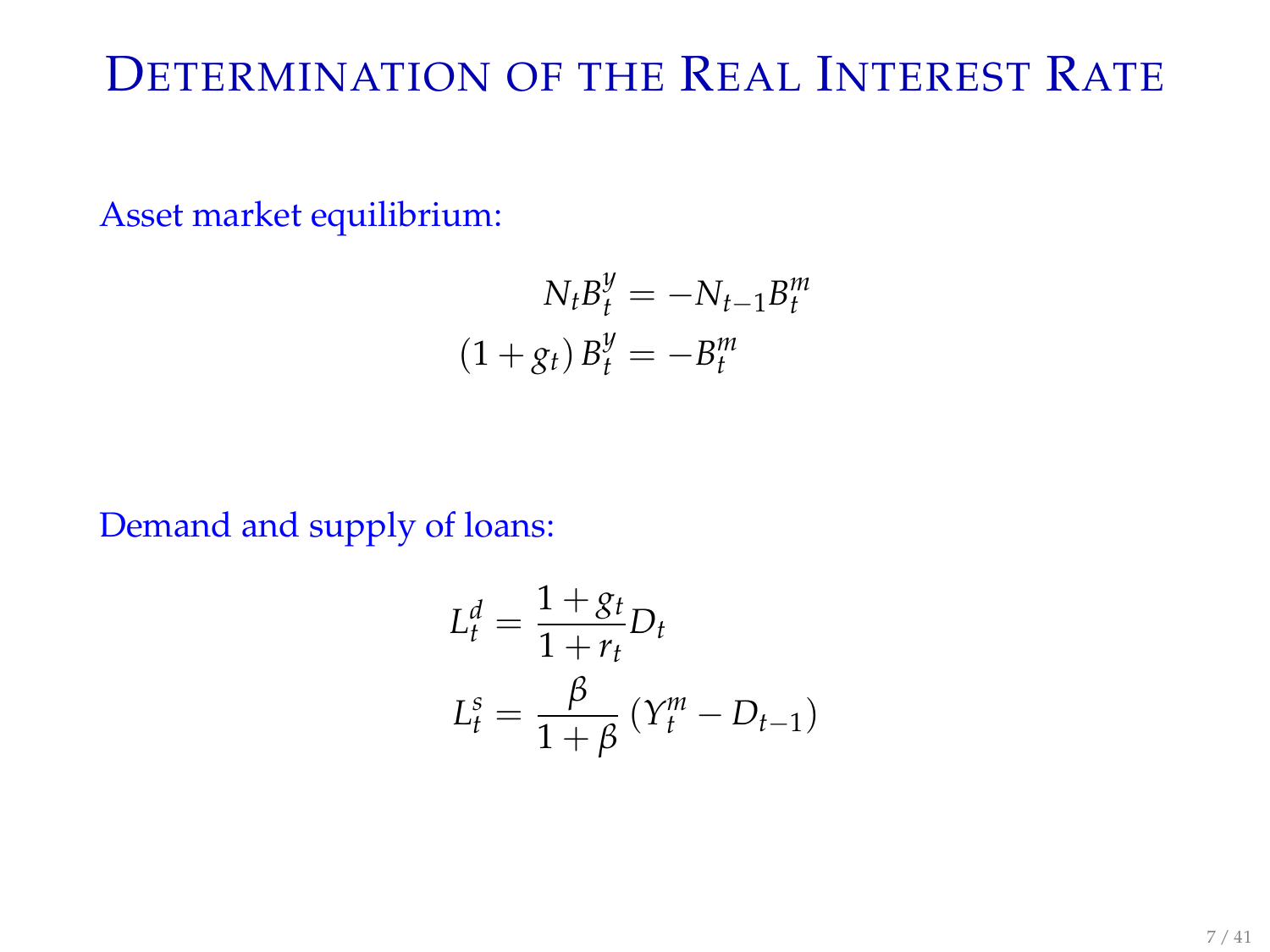# DETERMINATION OF THE REAL INTEREST RATE

Asset market equilibrium:

$$
N_t B_t^y = -N_{t-1} B_t^m
$$

$$
(1+g_t) B_t^y = -B_t^m
$$

Demand and supply of loans:

$$
L_t^d = \frac{1 + g_t}{1 + r_t} D_t
$$
  

$$
L_t^s = \frac{\beta}{1 + \beta} (Y_t^m - D_{t-1})
$$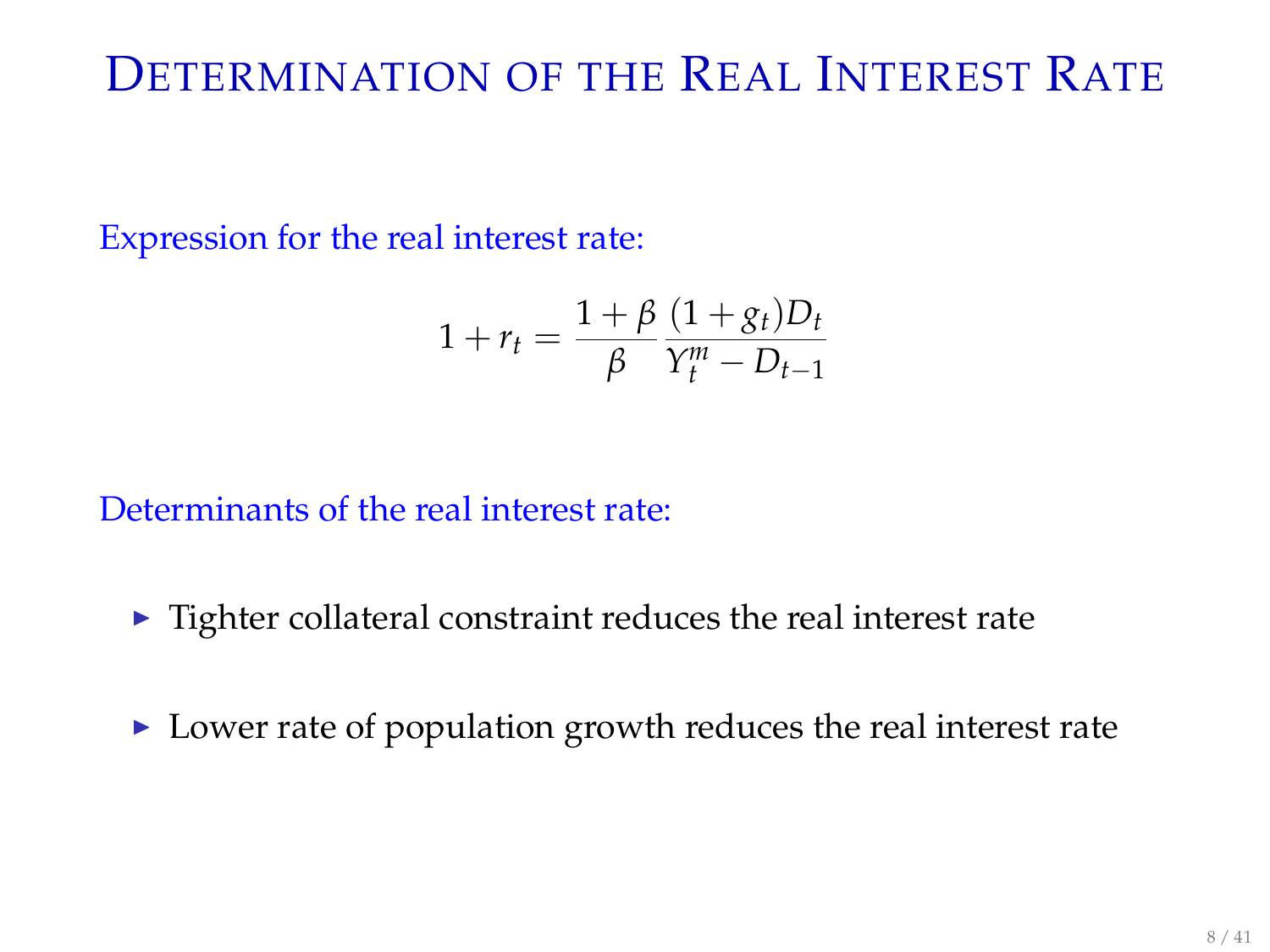# DETERMINATION OF THE REAL INTEREST RATE

Expression for the real interest rate:

$$
1 + r_t = \frac{1 + \beta}{\beta} \frac{(1 + g_t)D_t}{Y_t^m - D_{t-1}}
$$

Determinants of the real interest rate:

- $\blacktriangleright$  Tighter collateral constraint reduces the real interest rate
- $\triangleright$  Lower rate of population growth reduces the real interest rate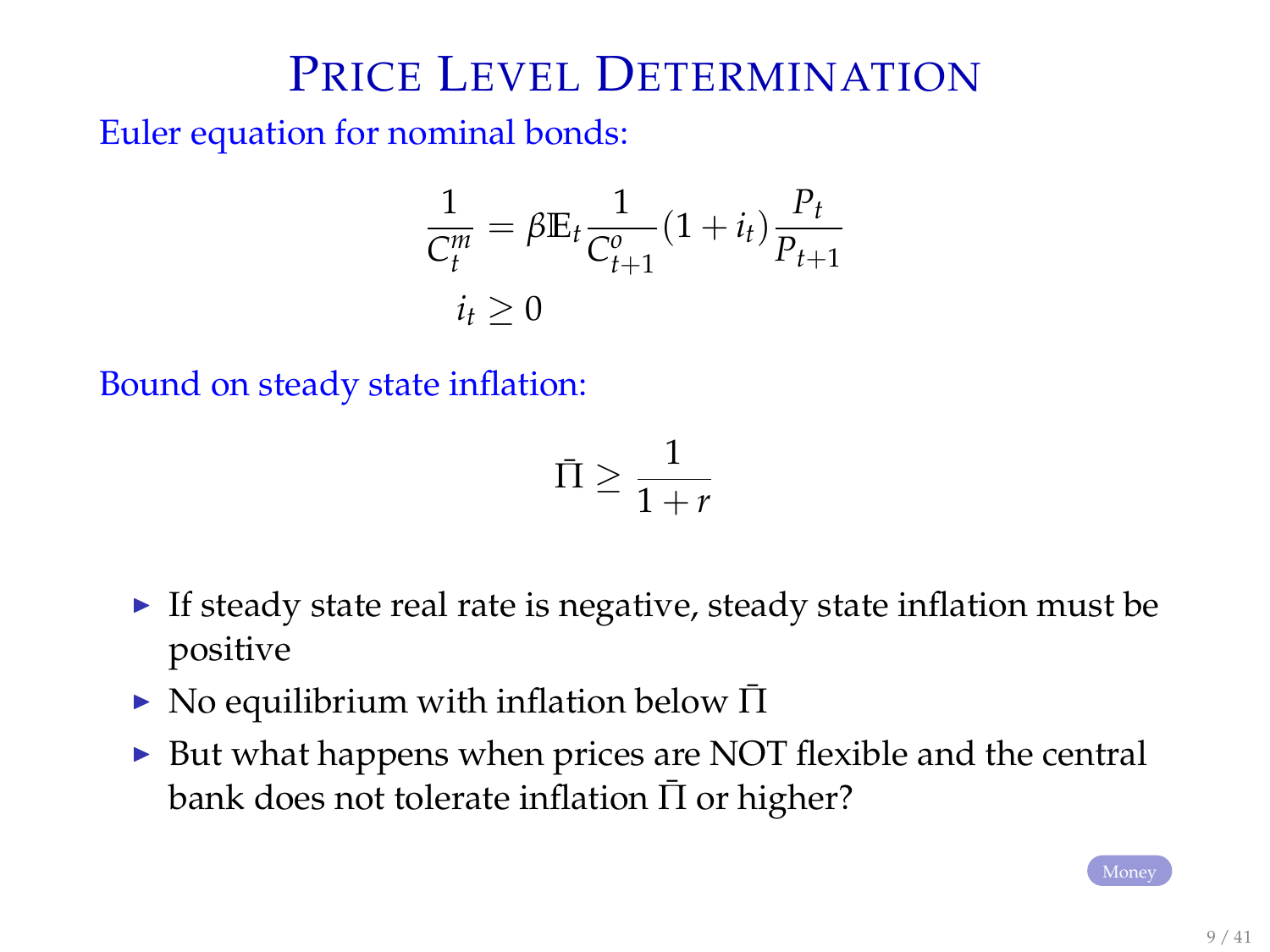## PRICE LEVEL DETERMINATION

<span id="page-8-0"></span>Euler equation for nominal bonds:

$$
\frac{1}{C_t^m} = \beta \mathbb{E}_t \frac{1}{C_{t+1}^o} (1 + i_t) \frac{P_t}{P_{t+1}}
$$
  

$$
i_t \ge 0
$$

Bound on steady state inflation:

$$
\bar{\Pi} \ge \frac{1}{1+r}
$$

- If steady state real rate is negative, steady state inflation must be positive
- $\triangleright$  No equilibrium with inflation below  $\Pi$
- $\triangleright$  But what happens when prices are NOT flexible and the central bank does not tolerate inflation  $\Pi$  or higher?

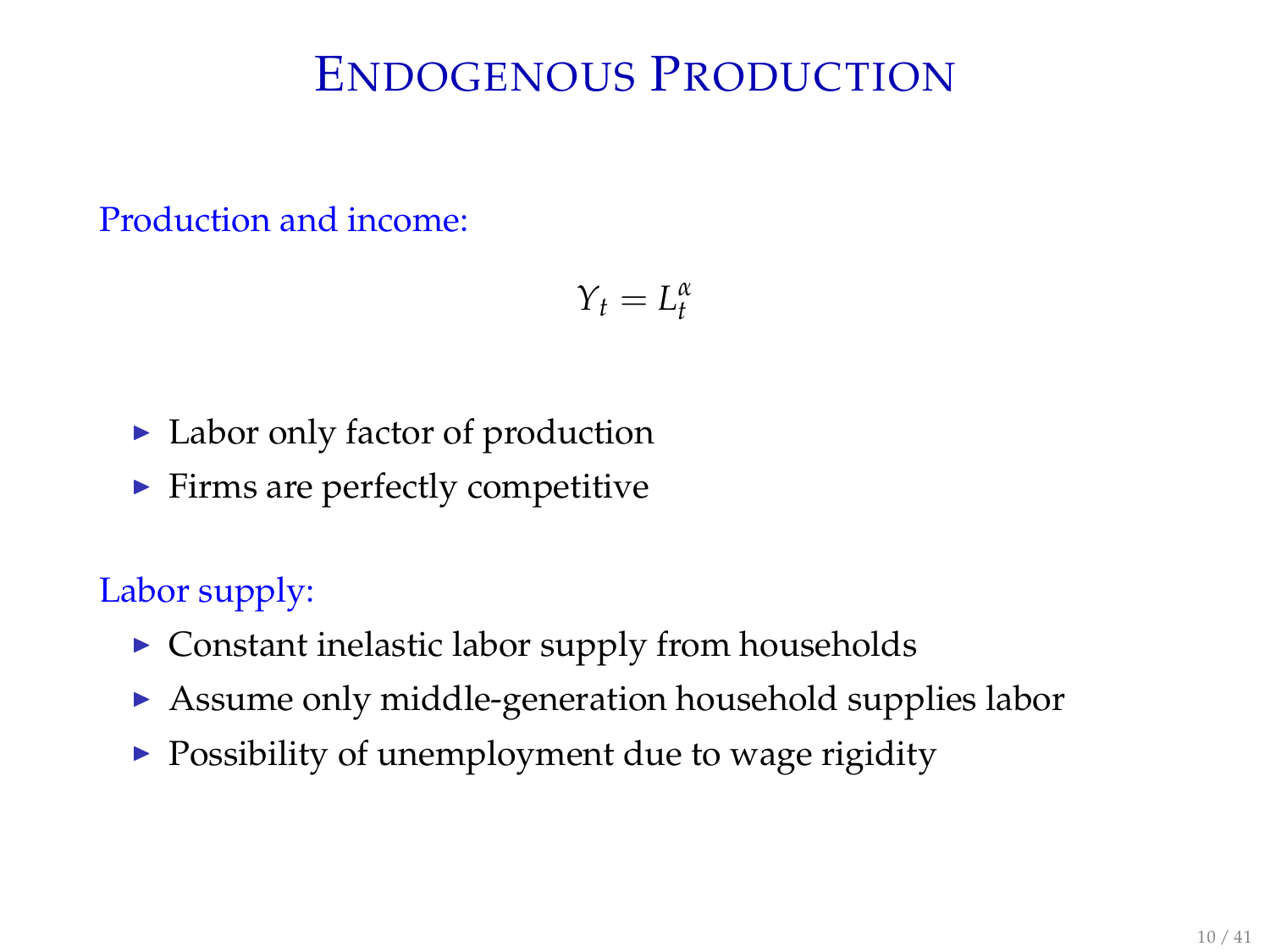# ENDOGENOUS PRODUCTION

Production and income:

$$
Y_t=L_t^{\alpha}
$$

- $\blacktriangleright$  Labor only factor of production
- $\blacktriangleright$  Firms are perfectly competitive

Labor supply:

- $\triangleright$  Constant inelastic labor supply from households
- $\triangleright$  Assume only middle-generation household supplies labor
- $\triangleright$  Possibility of unemployment due to wage rigidity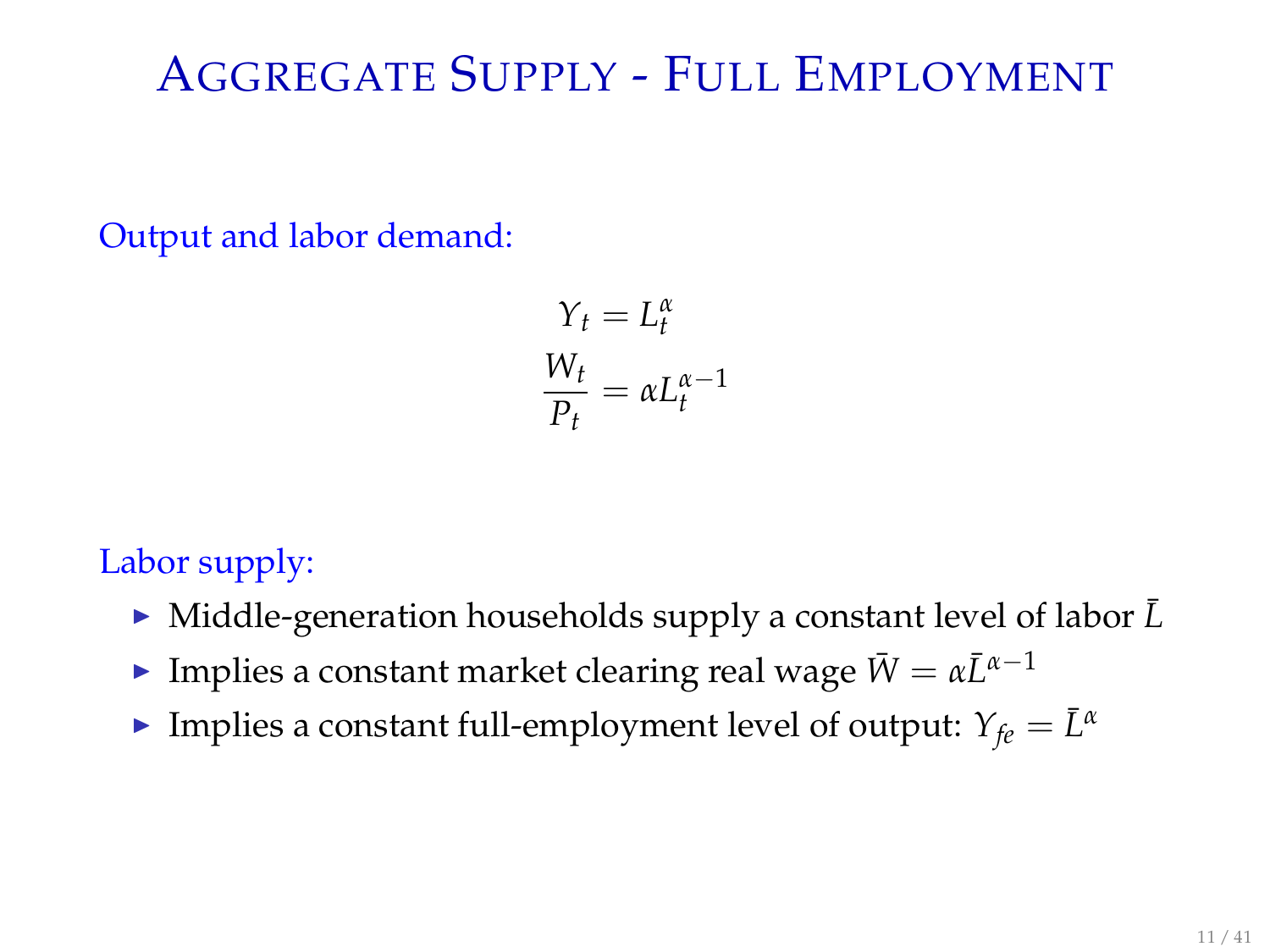# AGGREGATE SUPPLY - FULL EMPLOYMENT

Output and labor demand:

$$
Y_t = L_t^{\alpha}
$$
  

$$
\frac{W_t}{P_t} = \alpha L_t^{\alpha - 1}
$$

#### Labor supply:

- Middle-generation households supply a constant level of labor  $\bar{L}$
- **Implies a constant market clearing real wage**  $\bar{W} = \alpha \bar{L}^{\alpha-1}$
- **Implies a constant full-employment level of output:**  $Y_{fe} = \overline{L}^{\alpha}$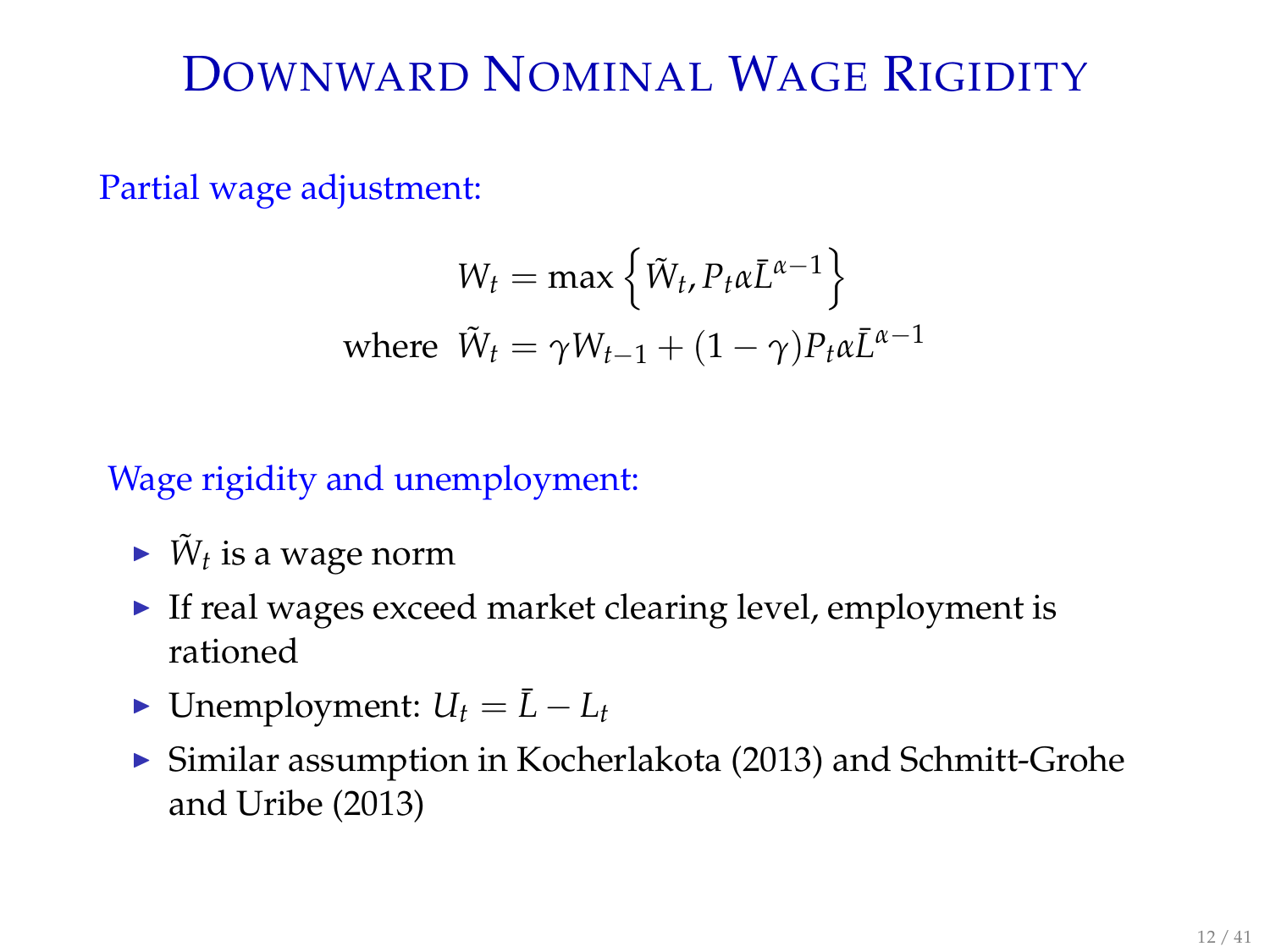# DOWNWARD NOMINAL WAGE RIGIDITY

Partial wage adjustment:

$$
W_t = \max\left\{\tilde{W}_t, P_t \alpha \bar{L}^{\alpha - 1}\right\}
$$
  
where  $\tilde{W}_t = \gamma W_{t-1} + (1 - \gamma) P_t \alpha \bar{L}^{\alpha - 1}$ 

#### Wage rigidity and unemployment:

- $\blacktriangleright$   $\tilde{W}_t$  is a wage norm
- $\blacktriangleright$  If real wages exceed market clearing level, employment is rationed
- ► Unemployment:  $U_t = \bar{L} L_t$
- $\triangleright$  Similar assumption in Kocherlakota (2013) and Schmitt-Grohe and Uribe (2013)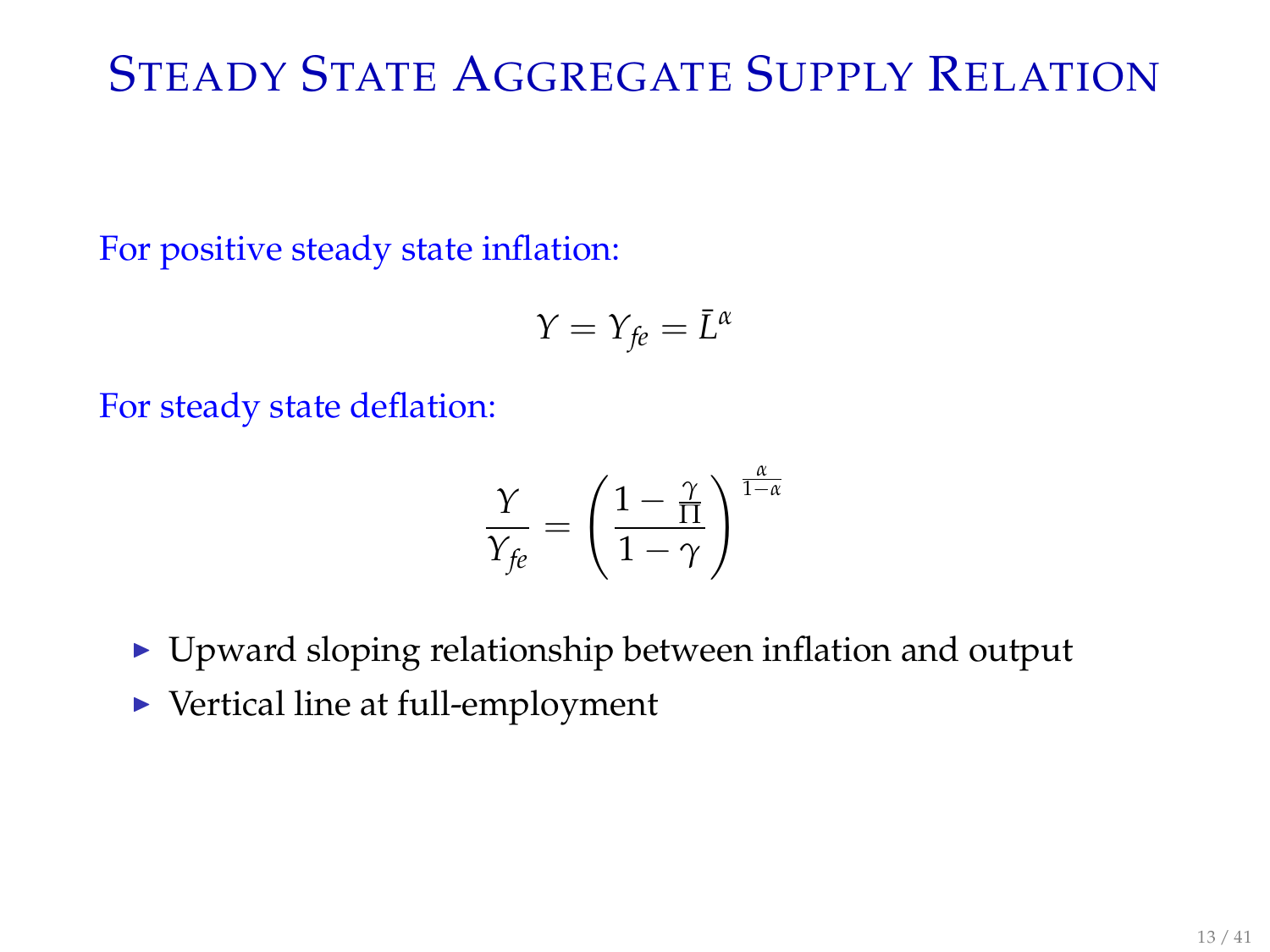# STEADY STATE AGGREGATE SUPPLY RELATION

For positive steady state inflation:

$$
Y=Y_{fe}=\bar{L}^{\alpha}
$$

For steady state deflation:

$$
\frac{\gamma}{Y_{fe}} = \left(\frac{1-\frac{\gamma}{\Pi}}{1-\gamma}\right)^{\frac{\alpha}{1-\alpha}}
$$

- $\blacktriangleright$  Upward sloping relationship between inflation and output
- $\blacktriangleright$  Vertical line at full-employment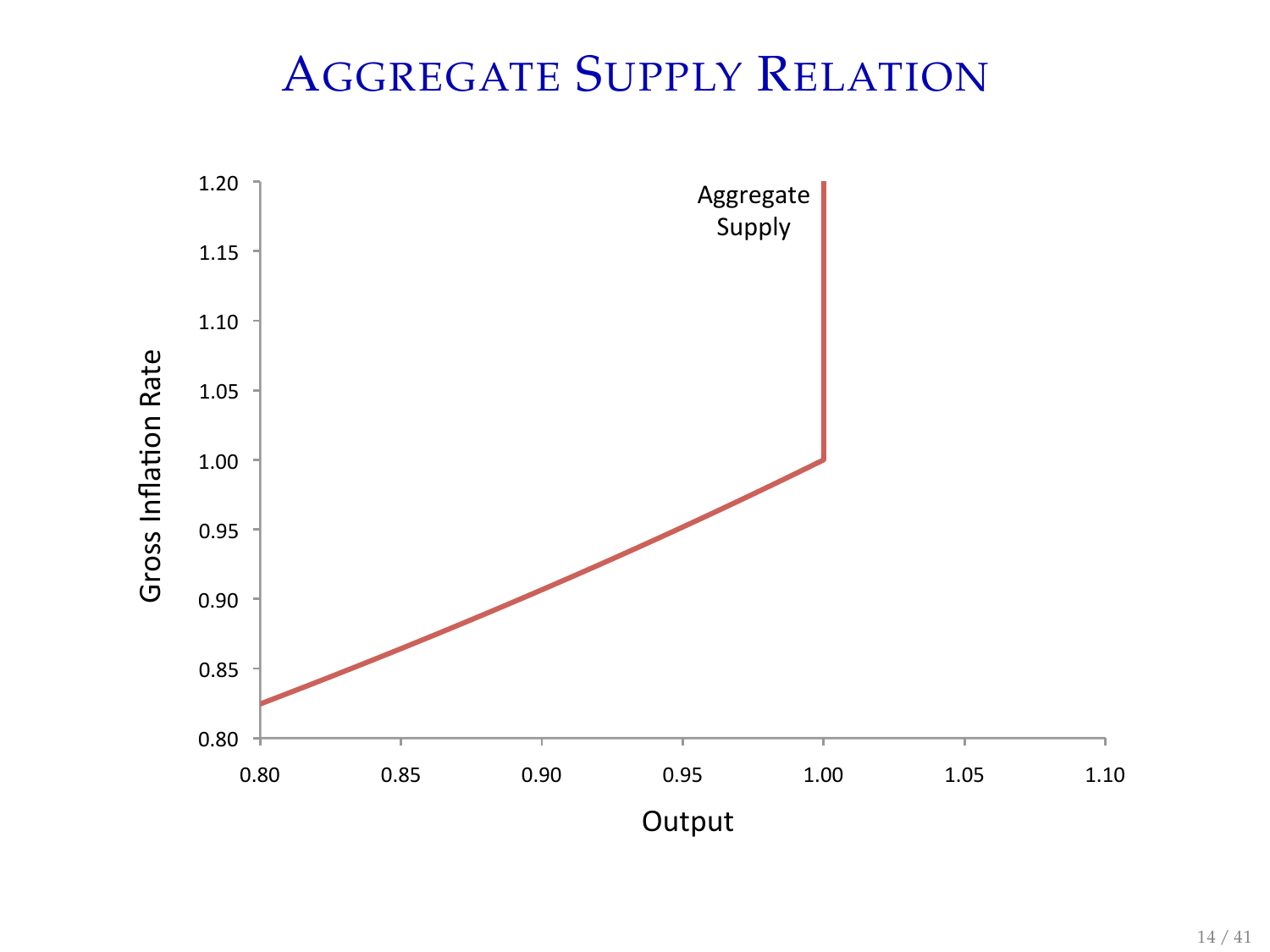# AGGREGATE SUPPLY RELATION

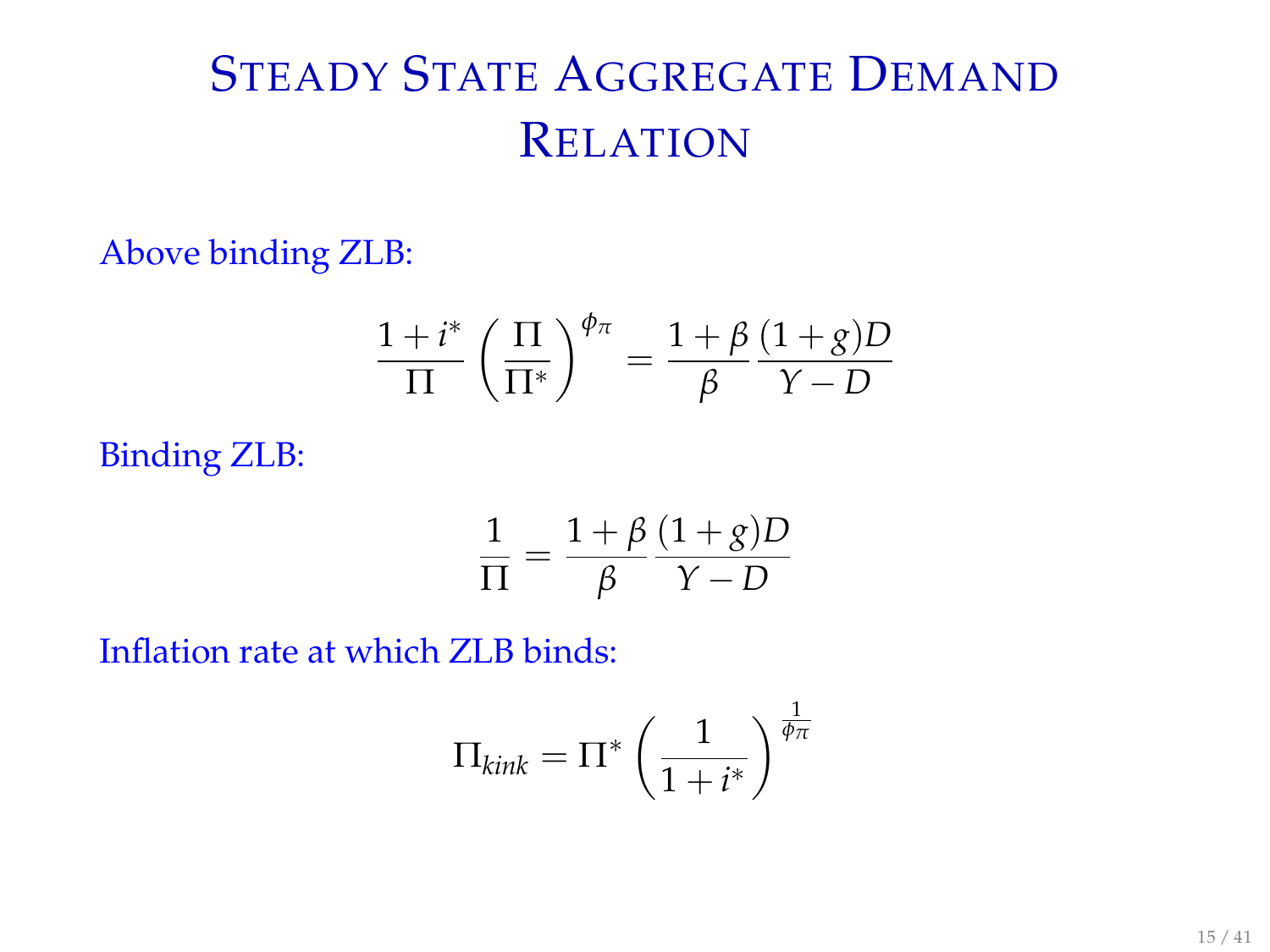# STEADY STATE AGGREGATE DEMAND RELATION

Above binding ZLB:

$$
\frac{1+i^*}{\Pi} \left( \frac{\Pi}{\Pi^*} \right)^{\phi_\pi} = \frac{1+\beta}{\beta} \frac{(1+g)D}{Y-D}
$$

Binding ZLB:

$$
\frac{1}{\Pi} = \frac{1+\beta}{\beta} \frac{(1+g)D}{Y-D}
$$

Inflation rate at which ZLB binds:

$$
\Pi_{kink} = \Pi^* \left(\frac{1}{1+i^*}\right)^{\frac{1}{\phi_{\pi}}}
$$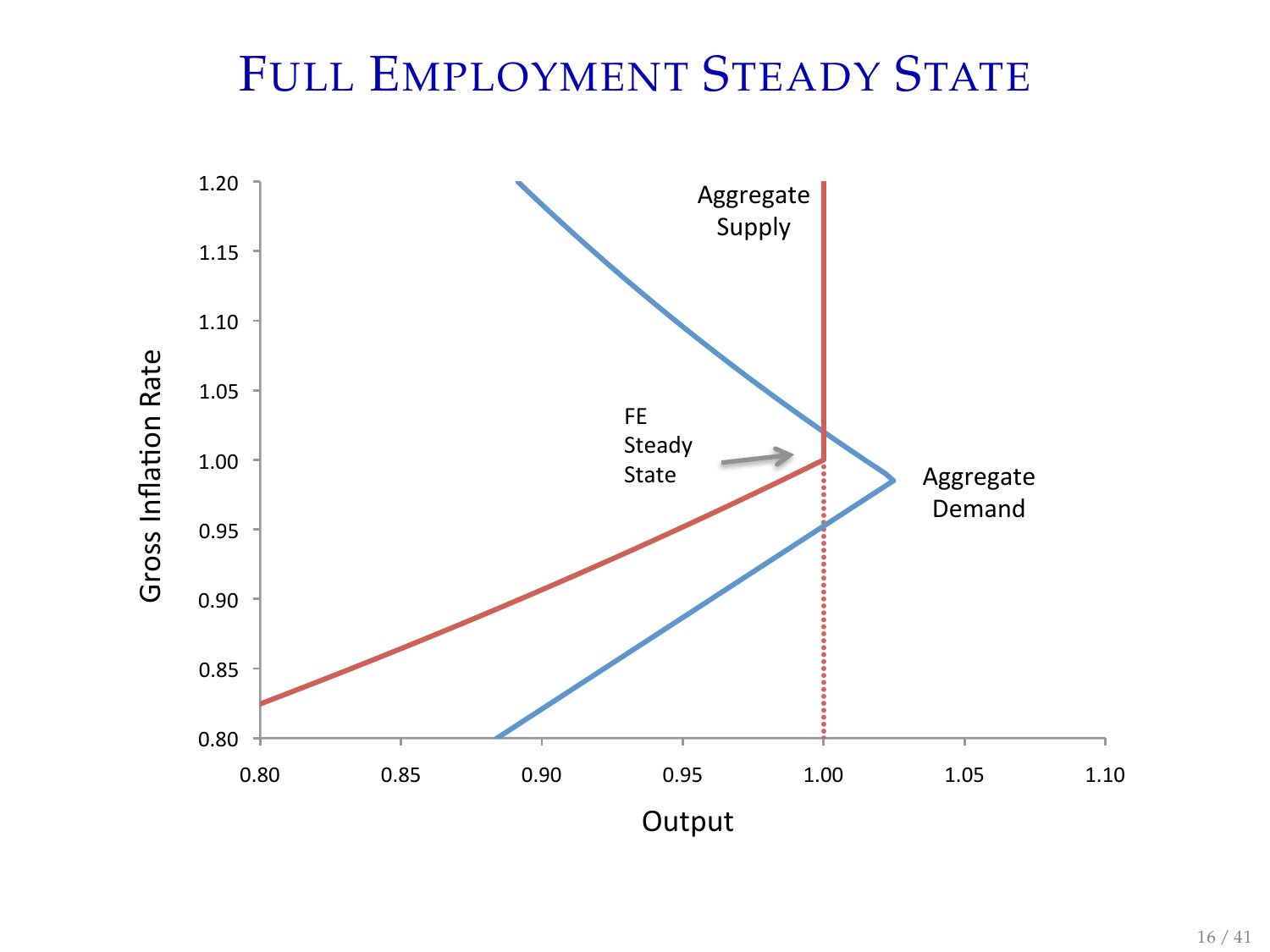# FULL EMPLOYMENT STEADY STATE

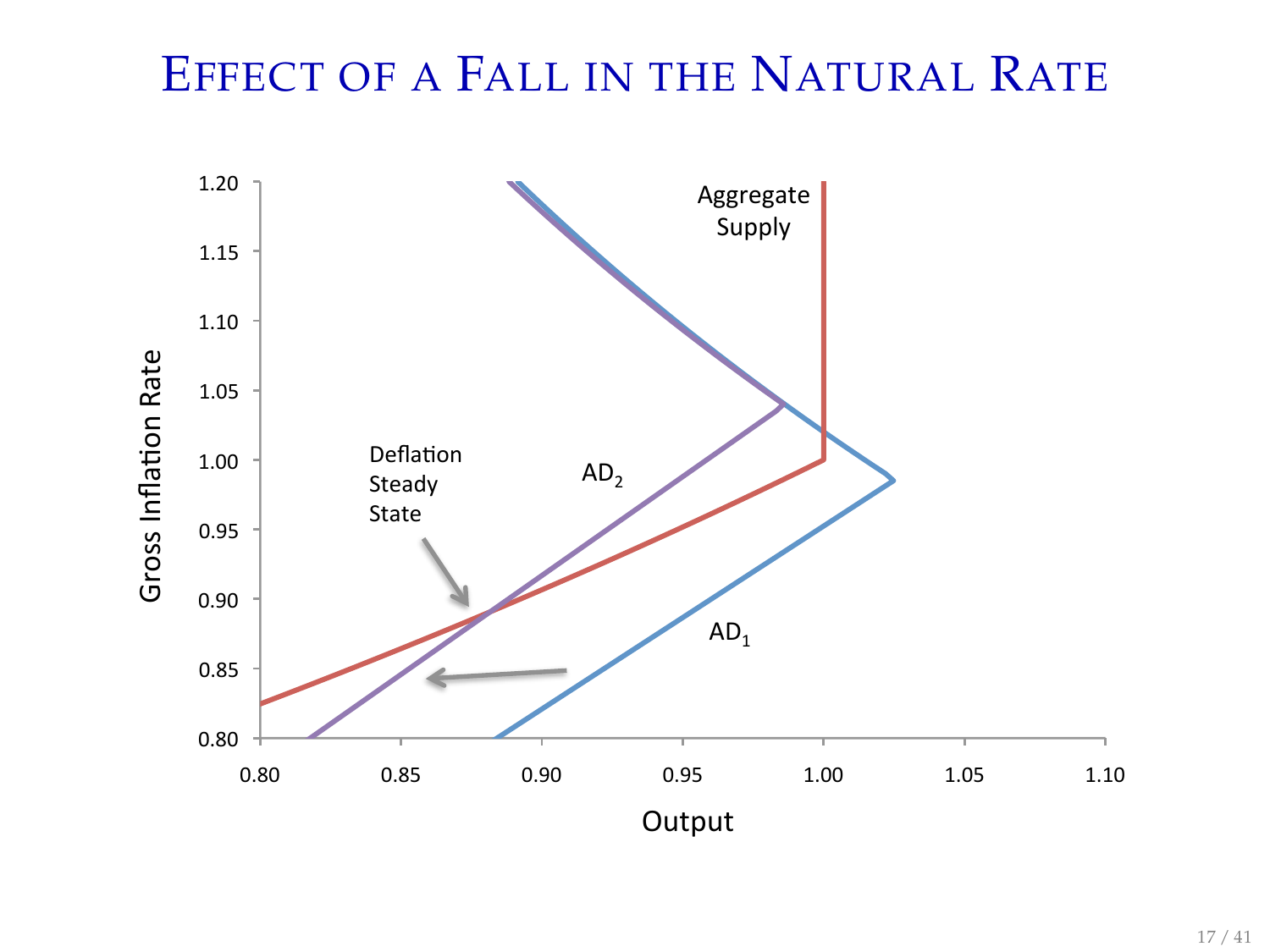# EFFECT OF A FALL IN THE NATURAL RATE

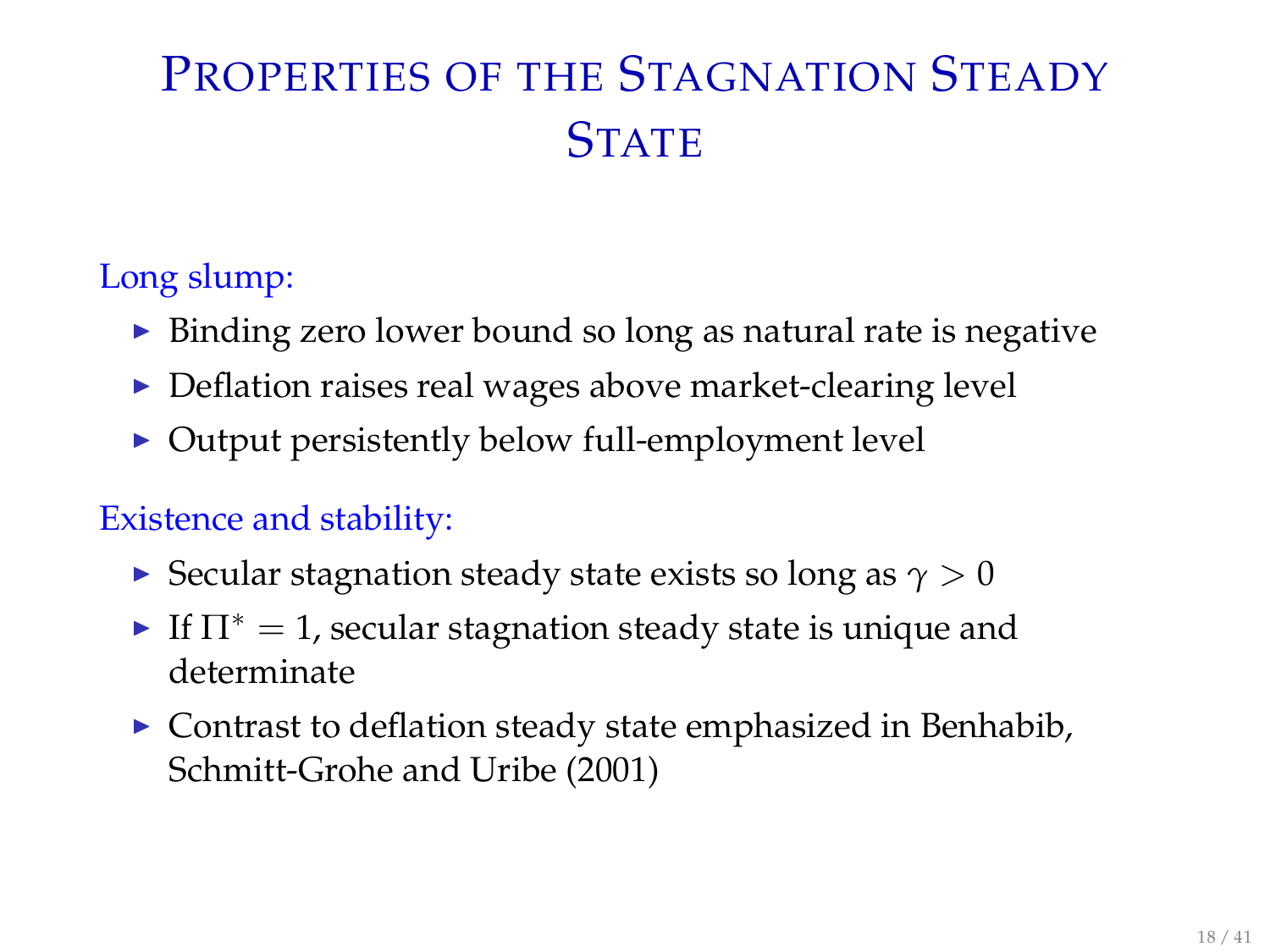# PROPERTIES OF THE STAGNATION STEADY **STATE**

#### Long slump:

- $\triangleright$  Binding zero lower bound so long as natural rate is negative
- $\triangleright$  Deflation raises real wages above market-clearing level
- $\triangleright$  Output persistently below full-employment level

#### Existence and stability:

- Secular stagnation steady state exists so long as  $\gamma > 0$
- If  $\Pi^* = 1$ , secular stagnation steady state is unique and determinate
- $\triangleright$  Contrast to deflation steady state emphasized in Benhabib, Schmitt-Grohe and Uribe (2001)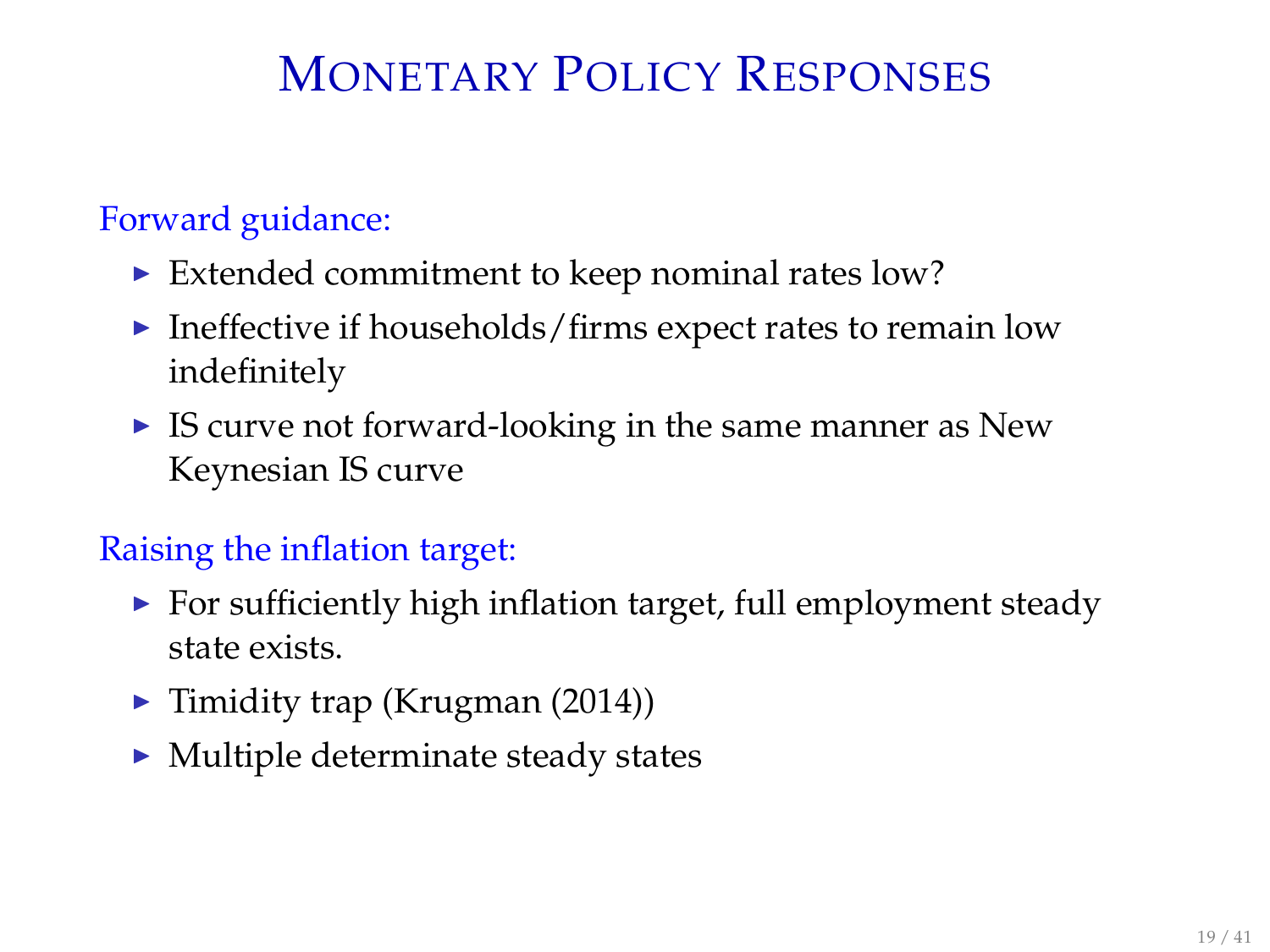# MONETARY POLICY RESPONSES

#### Forward guidance:

- $\triangleright$  Extended commitment to keep nominal rates low?
- $\blacktriangleright$  Ineffective if households/firms expect rates to remain low indefinitely
- $\triangleright$  IS curve not forward-looking in the same manner as New Keynesian IS curve

### Raising the inflation target:

- $\triangleright$  For sufficiently high inflation target, full employment steady state exists.
- $\blacktriangleright$  Timidity trap (Krugman (2014))
- $\blacktriangleright$  Multiple determinate steady states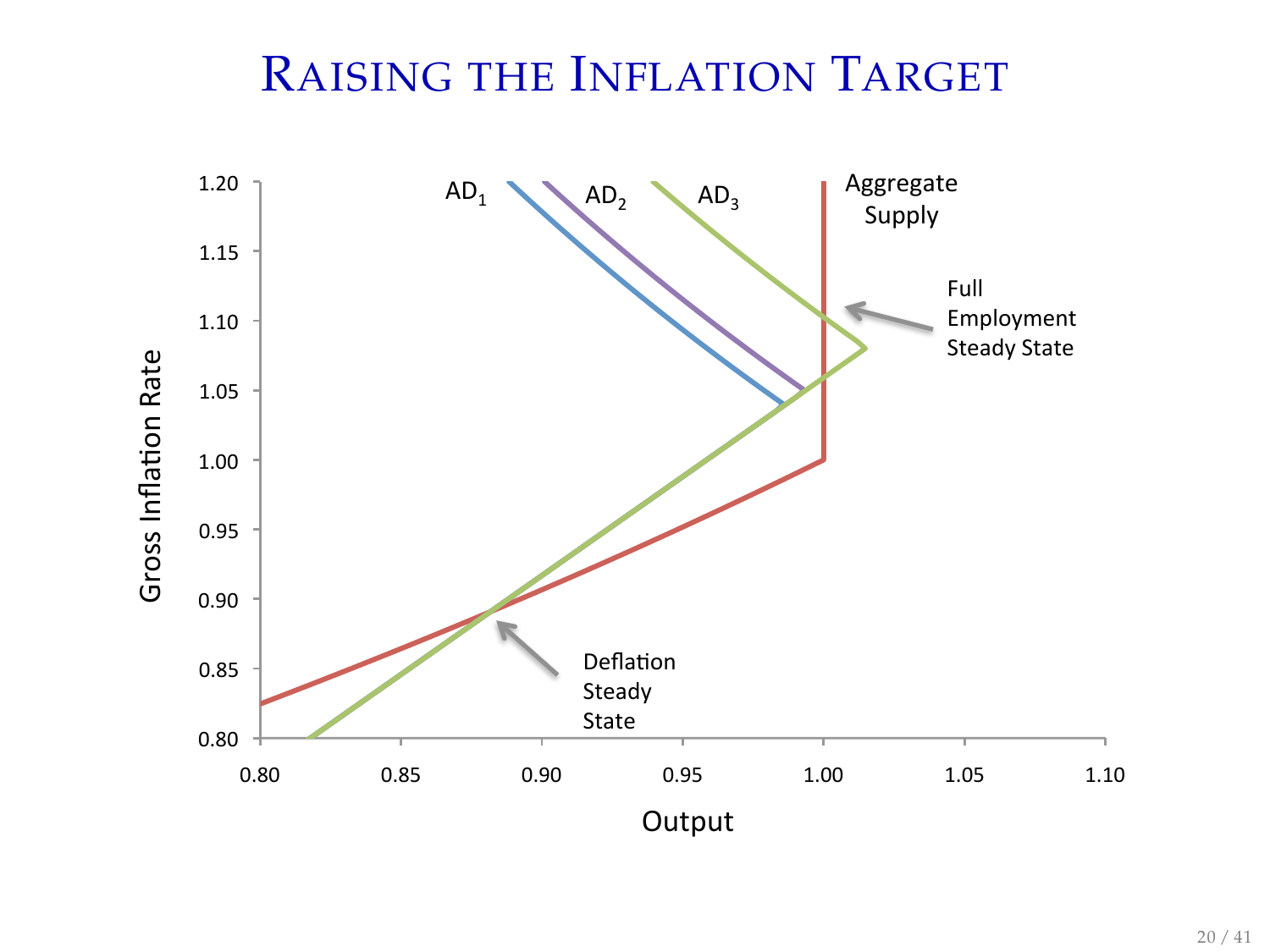# RAISING THE INFLATION TARGET

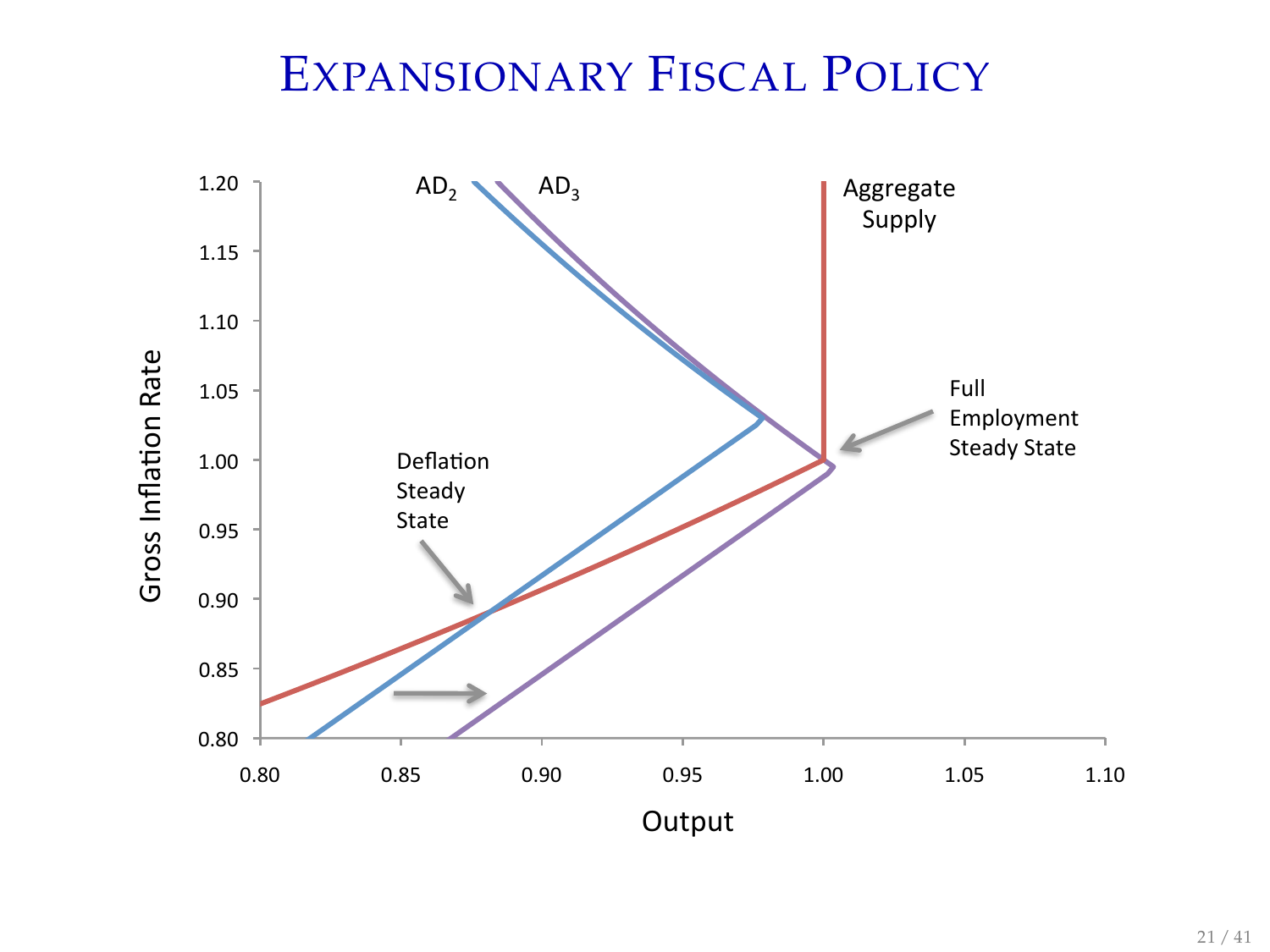# EXPANSIONARY FISCAL POLICY

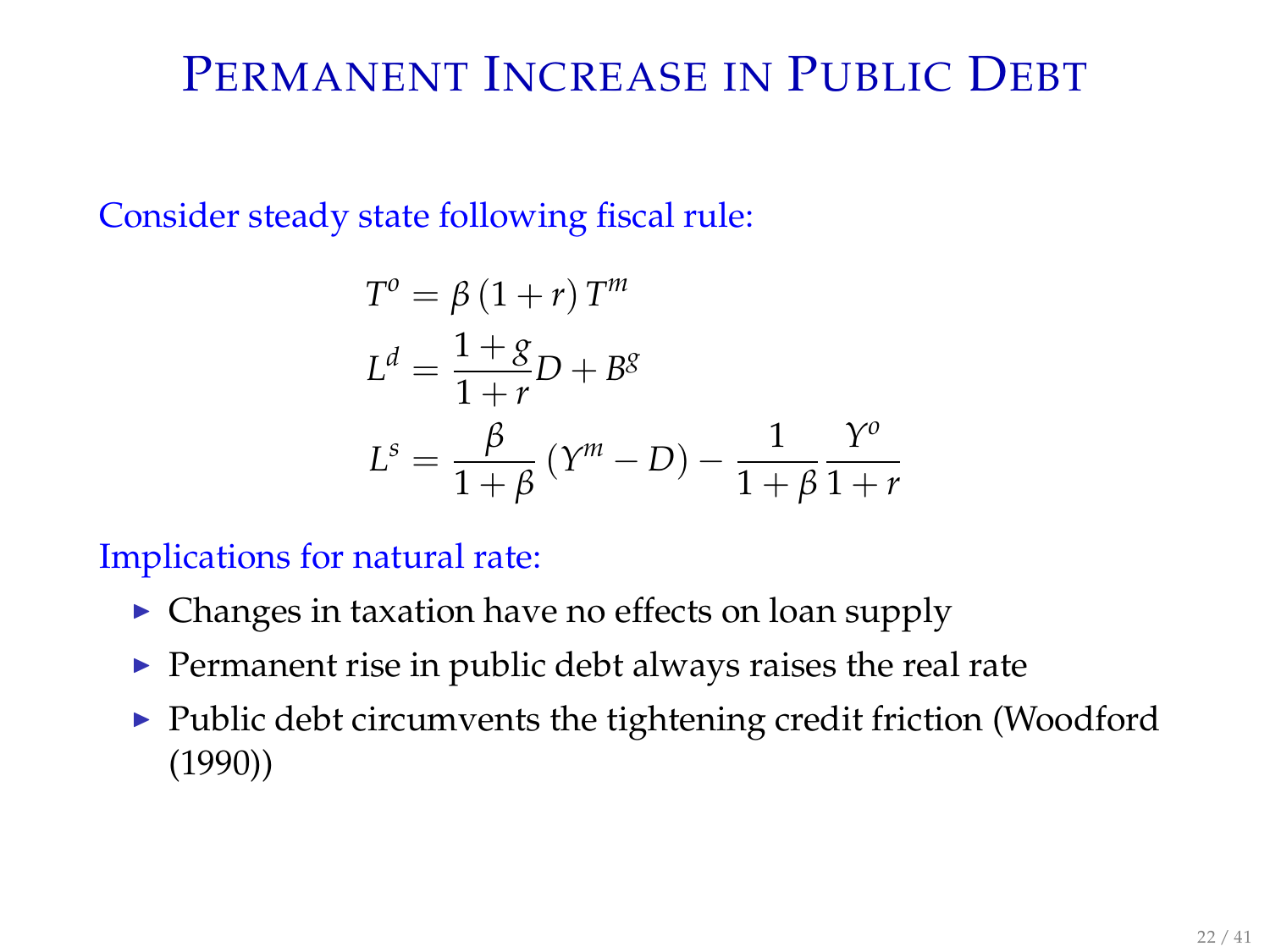## PERMANENT INCREASE IN PUBLIC DEBT

Consider steady state following fiscal rule:

$$
T^{o} = \beta (1+r) T^{m}
$$
  
\n
$$
L^{d} = \frac{1+g}{1+r} D + B^{g}
$$
  
\n
$$
L^{s} = \frac{\beta}{1+\beta} (Y^{m} - D) - \frac{1}{1+\beta} \frac{Y^{o}}{1+r}
$$

Implications for natural rate:

- $\triangleright$  Changes in taxation have no effects on loan supply
- $\blacktriangleright$  Permanent rise in public debt always raises the real rate
- $\blacktriangleright$  Public debt circumvents the tightening credit friction (Woodford (1990))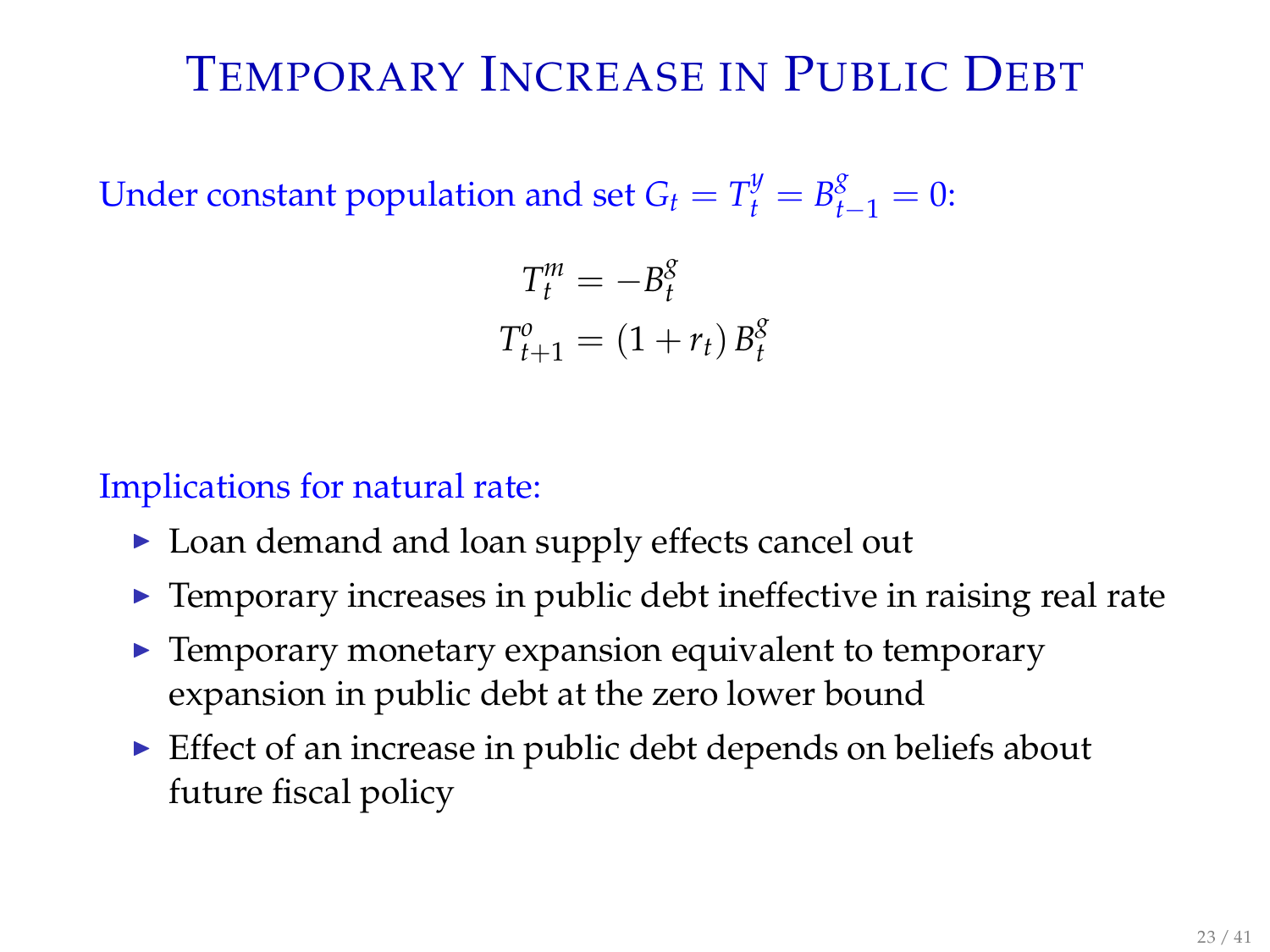# TEMPORARY INCREASE IN PUBLIC DEBT

Under constant population and set  $G_t = T_t^y = B_{t-1}^g = 0$ :

$$
T_t^m = -B_t^g
$$
  

$$
T_{t+1}^o = (1 + r_t) B_t^g
$$

Implications for natural rate:

- ▶ Loan demand and loan supply effects cancel out
- $\blacktriangleright$  Temporary increases in public debt ineffective in raising real rate
- $\blacktriangleright$  Temporary monetary expansion equivalent to temporary expansion in public debt at the zero lower bound
- $\triangleright$  Effect of an increase in public debt depends on beliefs about future fiscal policy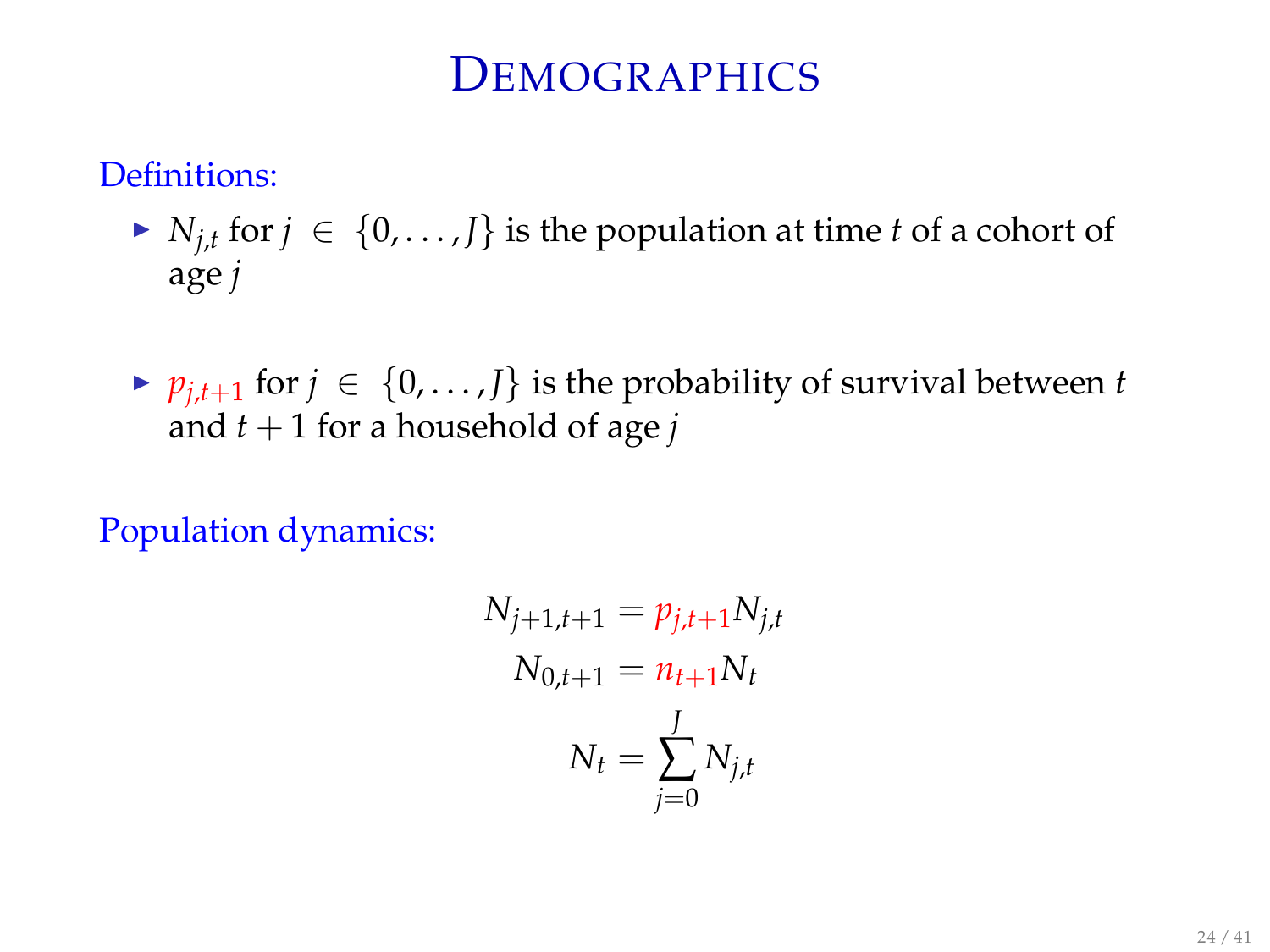### **DEMOGRAPHICS**

Definitions:

- ►  $N_{j,t}$  for  $j \in \{0,\ldots,J\}$  is the population at time *t* of a cohort of age *j*
- ►  $p_{j,t+1}$  for  $j \in \{0,\ldots,J\}$  is the probability of survival between *t* and  $t + 1$  for a household of age *j*

Population dynamics:

$$
N_{j+1,t+1} = p_{j,t+1} N_{j,t}
$$
  

$$
N_{0,t+1} = n_{t+1} N_t
$$
  

$$
N_t = \sum_{j=0}^{J} N_{j,t}
$$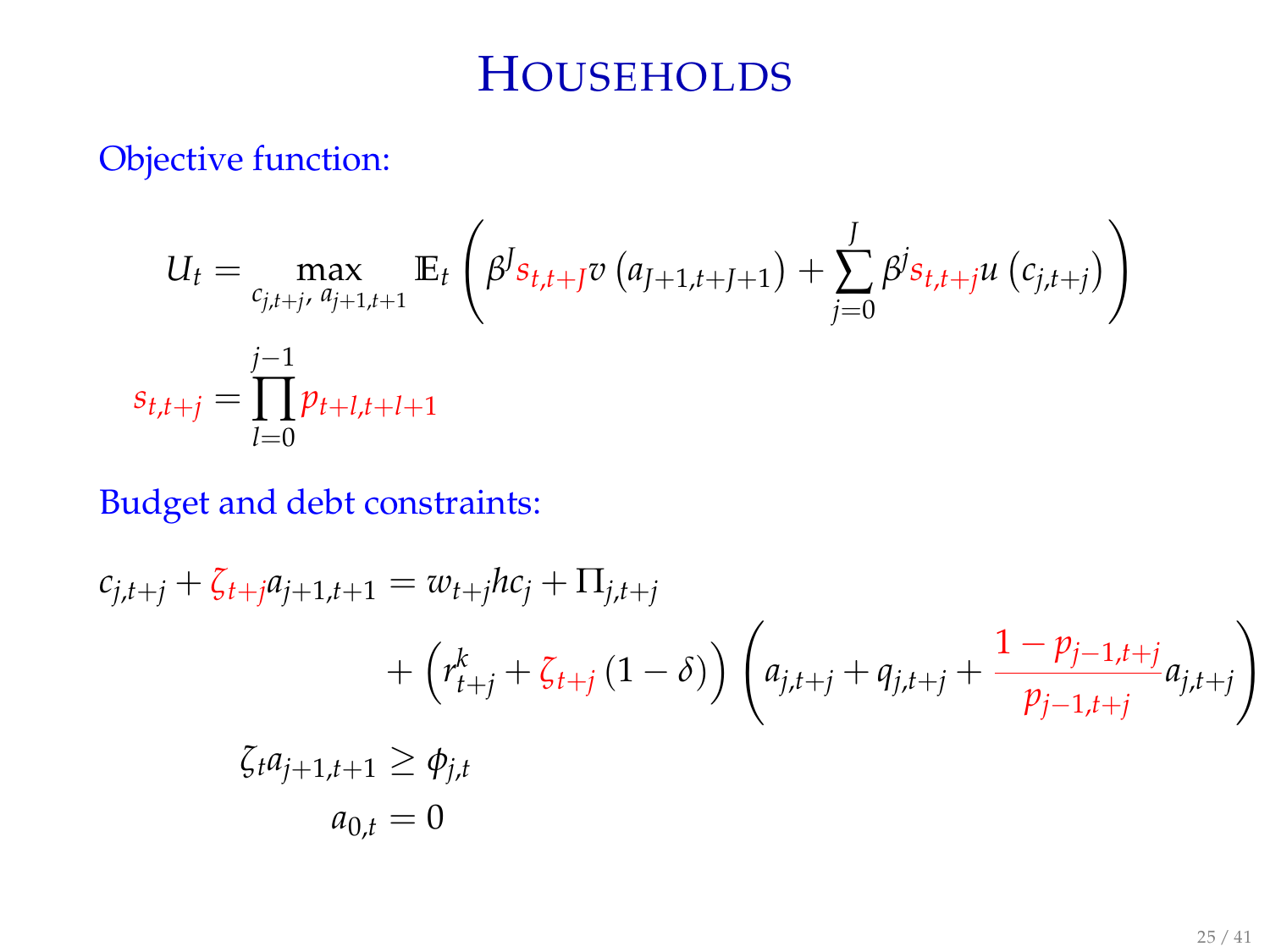# **HOUSEHOLDS**

Objective function:

$$
U_{t} = \max_{\substack{c_{j,t+j}, a_{j+1,t+1} \\ s_{t,t+j}}} \mathbb{E}_{t} \left( \beta^{J} s_{t,t+j} v \left( a_{j+1,t+1+1} \right) + \sum_{j=0}^{J} \beta^{j} s_{t,t+j} u \left( c_{j,t+j} \right) \right)
$$
  

$$
s_{t,t+j} = \prod_{l=0}^{j-1} p_{t+l,t+l+1}
$$

### Budget and debt constraints:

$$
c_{j,t+j} + \zeta_{t+j} a_{j+1,t+1} = w_{t+j} h c_j + \Pi_{j,t+j}
$$
  
+ 
$$
\left(r_{t+j}^k + \zeta_{t+j} (1 - \delta)\right) \left(a_{j,t+j} + q_{j,t+j} + \frac{1 - p_{j-1,t+j}}{p_{j-1,t+j}} a_{j,t+j}\right)
$$
  

$$
\zeta_t a_{j+1,t+1} \ge \phi_{j,t}
$$
  

$$
a_{0,t} = 0
$$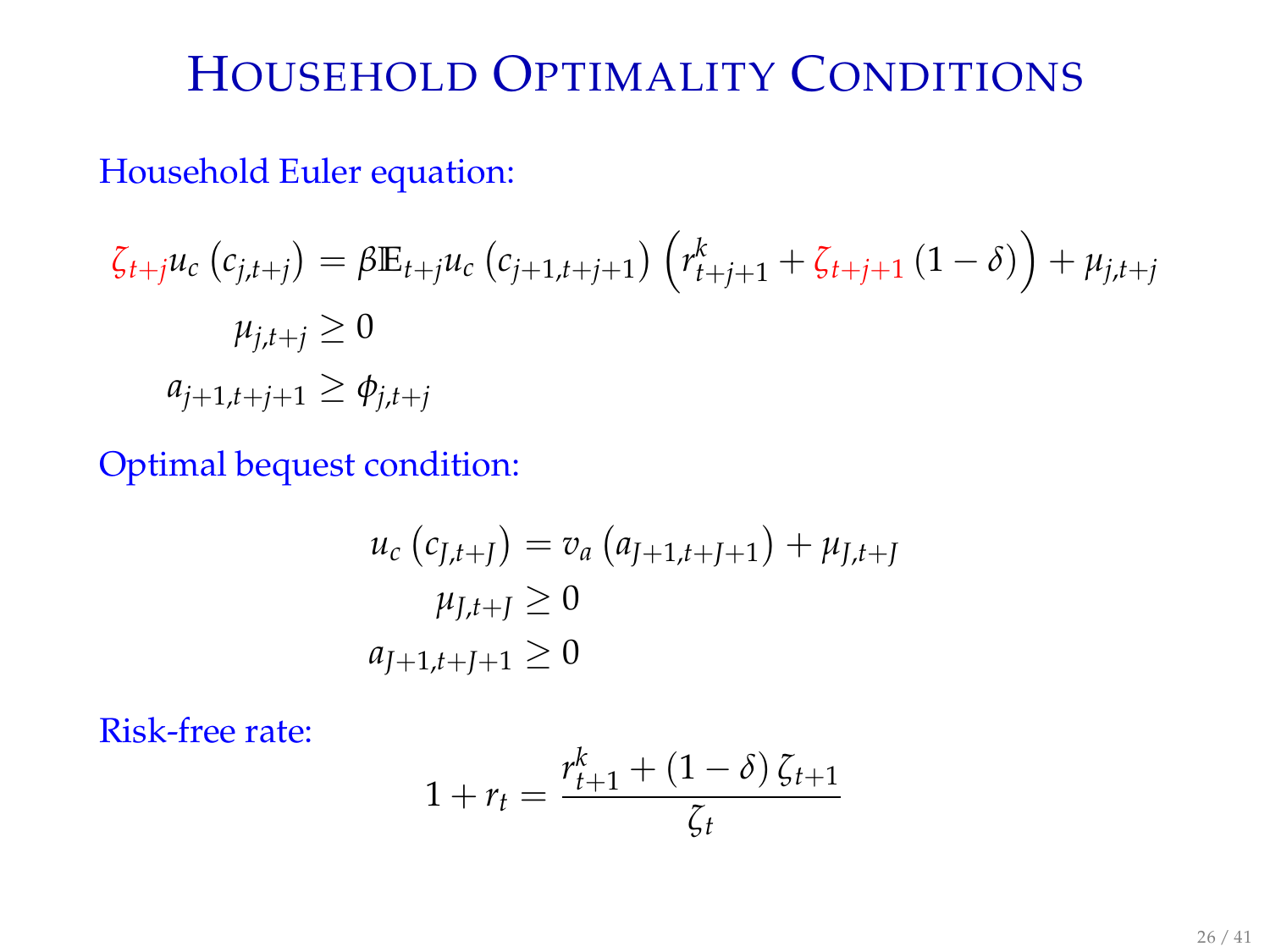# HOUSEHOLD OPTIMALITY CONDITIONS

#### Household Euler equation:

$$
\zeta_{t+j}u_c\left(c_{j,t+j}\right) = \beta \mathbb{E}_{t+j}u_c\left(c_{j+1,t+j+1}\right)\left(r_{t+j+1}^k + \zeta_{t+j+1}\left(1-\delta\right)\right) + \mu_{j,t+j}
$$
\n
$$
\mu_{j,t+j} \ge 0
$$
\n
$$
a_{j+1,t+j+1} \ge \phi_{j,t+j}
$$

Optimal bequest condition:

$$
u_c (c_{J,t+J}) = v_a (a_{J+1,t+J+1}) + \mu_{J,t+J}
$$
  

$$
\mu_{J,t+J} \ge 0
$$
  

$$
a_{J+1,t+J+1} \ge 0
$$

Risk-free rate:

$$
1 + r_t = \frac{r_{t+1}^k + (1 - \delta) \zeta_{t+1}}{\zeta_t}
$$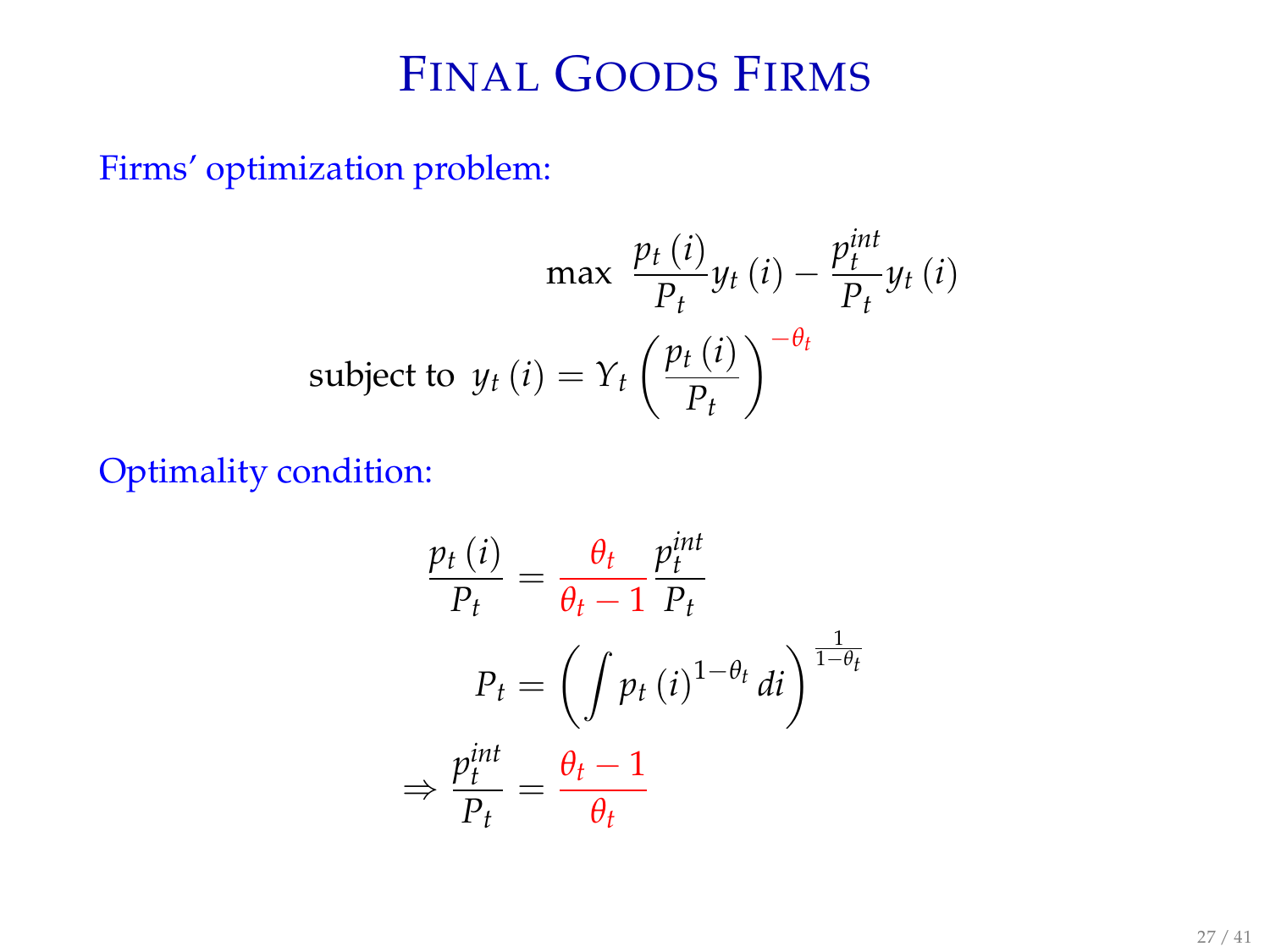## FINAL GOODS FIRMS

Firms' optimization problem:

$$
\max \frac{p_t(i)}{P_t} y_t(i) - \frac{p_t^{int}}{P_t} y_t(i)
$$
\nsubject to 
$$
y_t(i) = Y_t \left(\frac{p_t(i)}{P_t}\right)^{-\theta_t}
$$

Optimality condition:

$$
\frac{p_t(i)}{P_t} = \frac{\theta_t}{\theta_t - 1} \frac{p_t^{int}}{P_t}
$$

$$
P_t = \left( \int p_t(i)^{1 - \theta_t} di \right)^{\frac{1}{1 - \theta_t}}
$$

$$
\Rightarrow \frac{p_t^{int}}{P_t} = \frac{\theta_t - 1}{\theta_t}
$$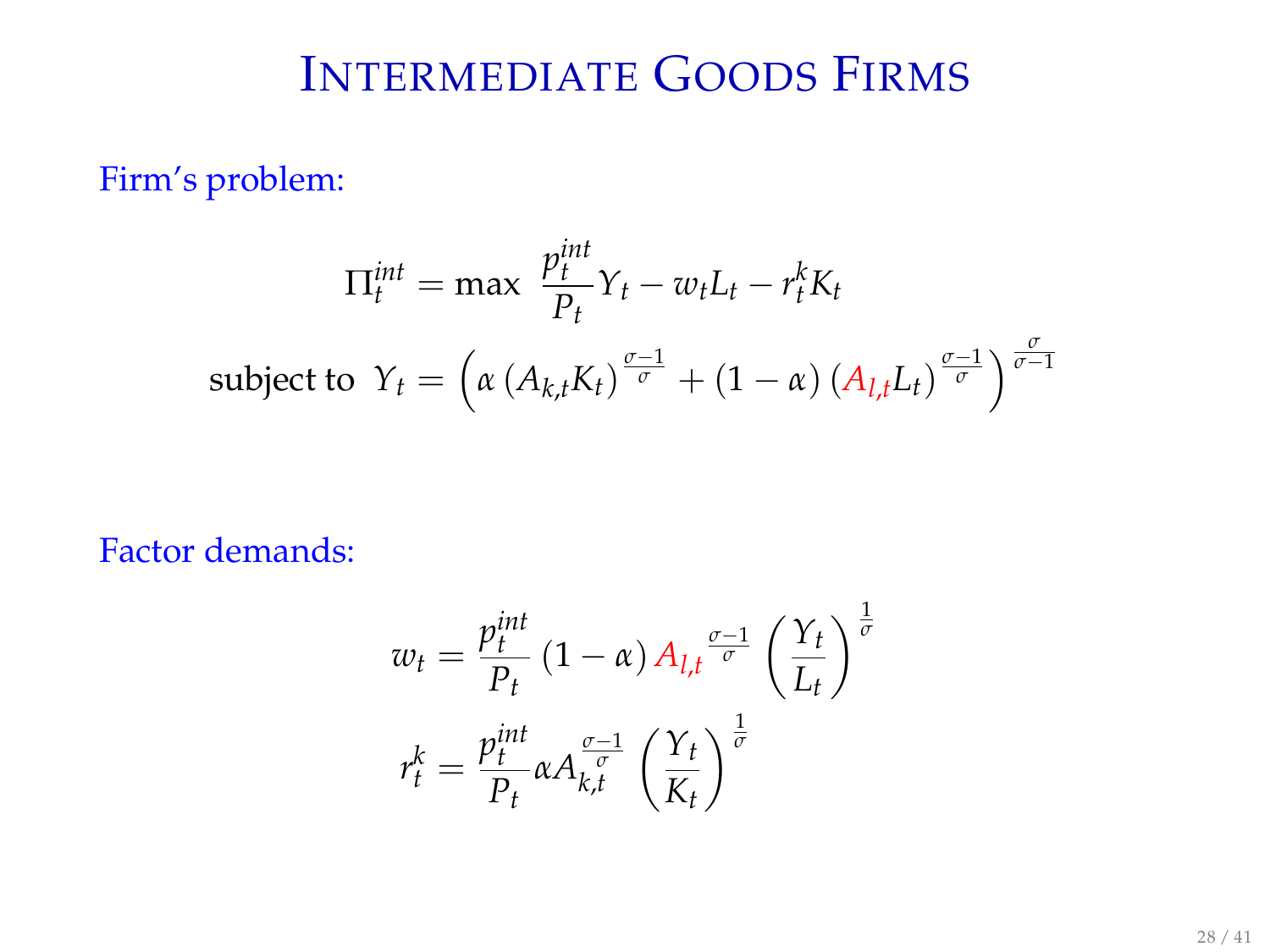# INTERMEDIATE GOODS FIRMS

Firm's problem:

$$
\Pi_t^{int} = \max \frac{p_t^{int}}{P_t} Y_t - w_t L_t - r_t^k K_t
$$
\n
$$
\text{subject to } Y_t = \left(\alpha \left(A_{k,t} K_t\right)^{\frac{\sigma - 1}{\sigma}} + \left(1 - \alpha\right) \left(A_{l,t} L_t\right)^{\frac{\sigma - 1}{\sigma}}\right)^{\frac{\sigma}{\sigma - 1}}
$$

Factor demands:

$$
w_t = \frac{p_t^{int}}{P_t} (1 - \alpha) A_{l,t} \frac{\sigma - 1}{\sigma} \left(\frac{Y_t}{L_t}\right)^{\frac{1}{\sigma}}
$$

$$
r_t^k = \frac{p_t^{int}}{P_t} \alpha A_{k,t}^{\frac{\sigma - 1}{\sigma}} \left(\frac{Y_t}{K_t}\right)^{\frac{1}{\sigma}}
$$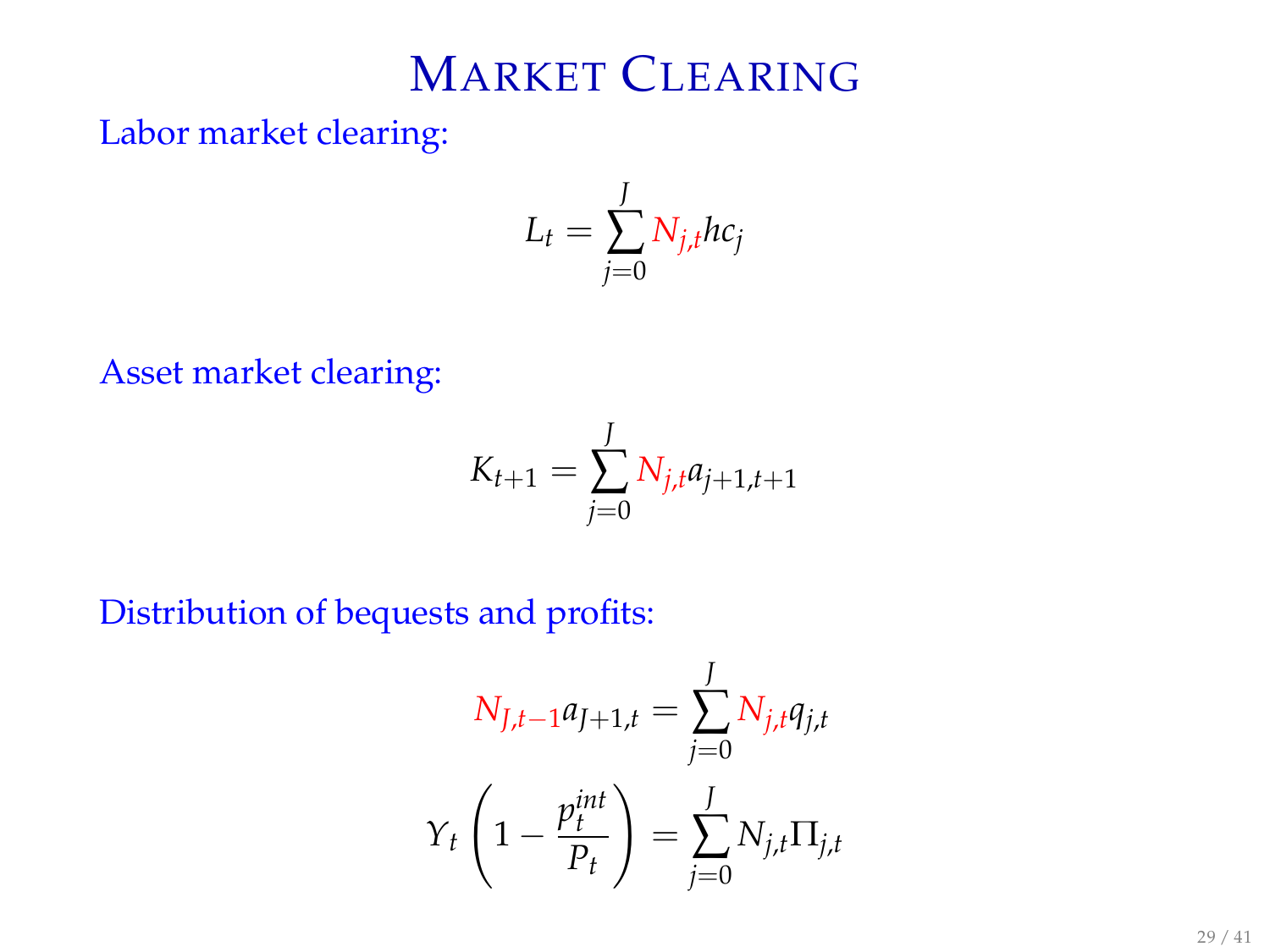# MARKET CLEARING

Labor market clearing:

$$
L_t = \sum_{j=0}^{J} N_{j,t} hc_j
$$

Asset market clearing:

$$
K_{t+1} = \sum_{j=0}^{J} N_{j,t} a_{j+1,t+1}
$$

Distribution of bequests and profits:

$$
N_{J,t-1}a_{J+1,t} = \sum_{j=0}^{J} N_{j,t}q_{j,t}
$$

$$
Y_t \left(1 - \frac{p_t^{int}}{P_t}\right) = \sum_{j=0}^{J} N_{j,t} \Pi_{j,t}
$$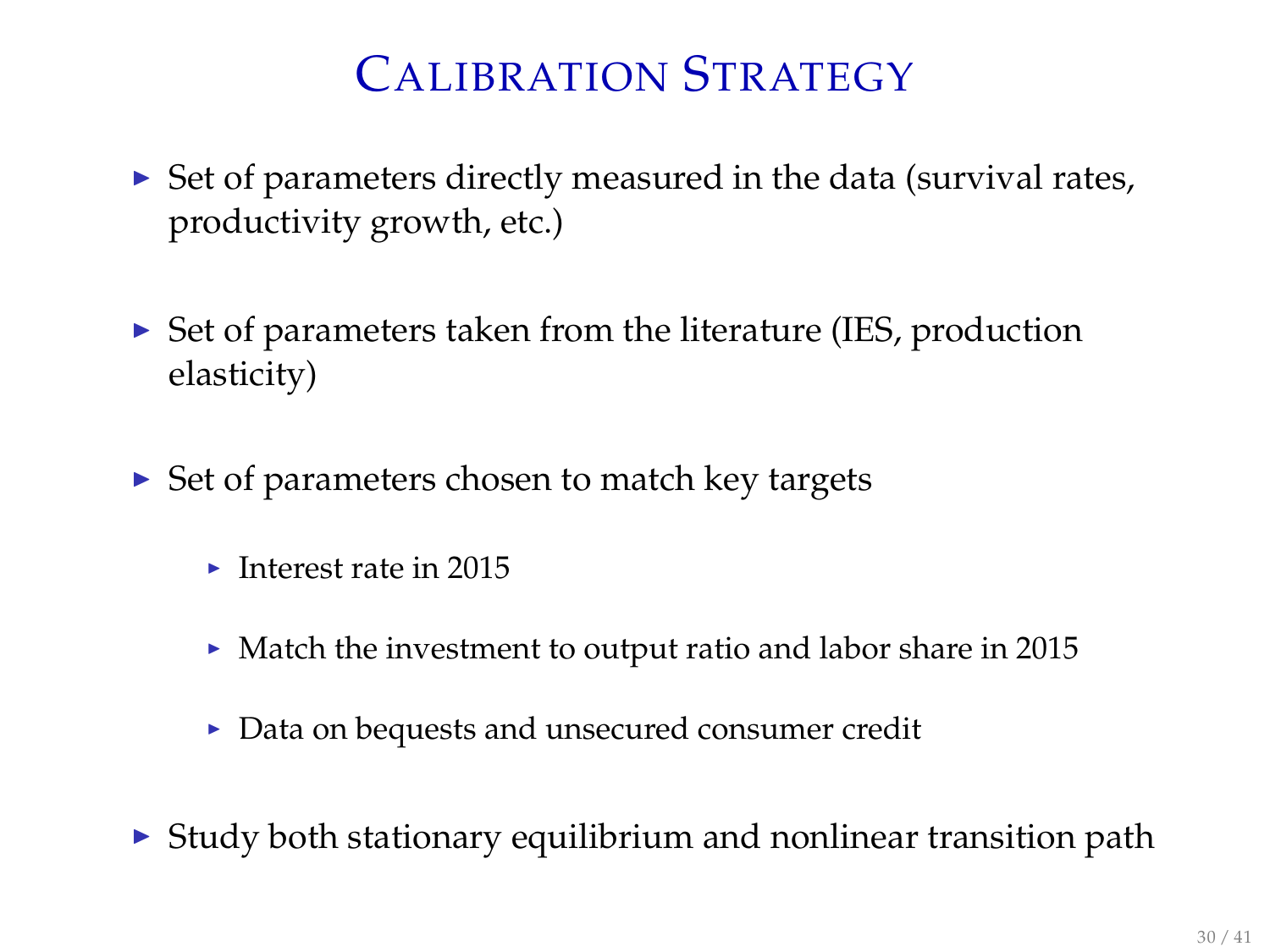# CALIBRATION STRATEGY

- $\triangleright$  Set of parameters directly measured in the data (survival rates, productivity growth, etc.)
- $\triangleright$  Set of parameters taken from the literature (IES, production elasticity)
- $\triangleright$  Set of parameters chosen to match key targets
	- $\blacktriangleright$  Interest rate in 2015
	- $\blacktriangleright$  Match the investment to output ratio and labor share in 2015
	- $\triangleright$  Data on bequests and unsecured consumer credit
- $\triangleright$  Study both stationary equilibrium and nonlinear transition path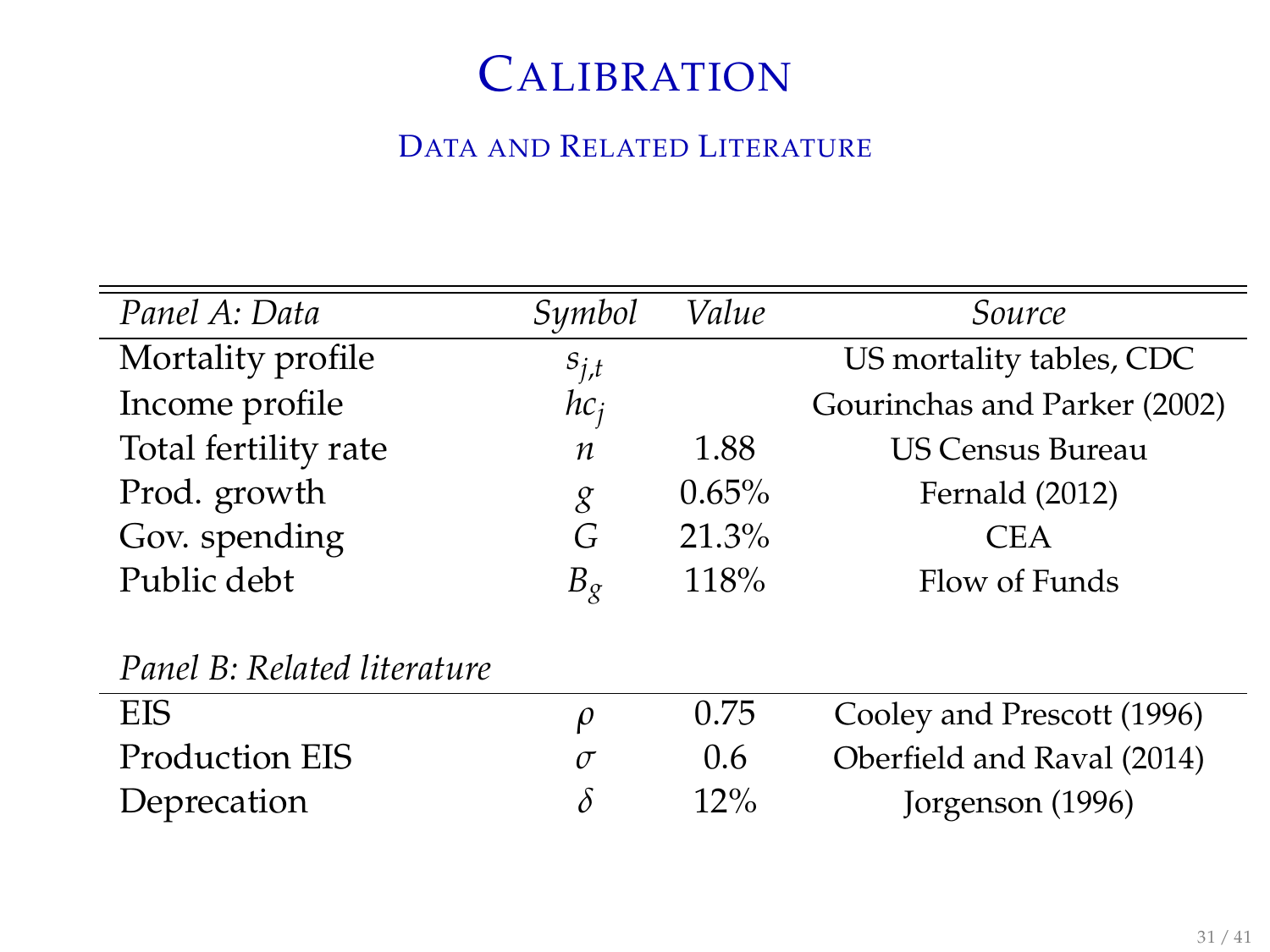# **CALIBRATION**

#### DATA AND RELATED LITERATURE

| Panel A: Data               | Symbol    | Value    | Source                       |
|-----------------------------|-----------|----------|------------------------------|
| Mortality profile           | $s_{j,t}$ |          | US mortality tables, CDC     |
| Income profile              | $hc_i$    |          | Gourinchas and Parker (2002) |
| Total fertility rate        | n         | 1.88     | <b>US Census Bureau</b>      |
| Prod. growth                | g         | $0.65\%$ | Fernald (2012)               |
| Gov. spending               | G         | 21.3%    | <b>CEA</b>                   |
| Public debt                 | $B_{g}$   | 118%     | Flow of Funds                |
|                             |           |          |                              |
| Panel B: Related literature |           |          |                              |
| <b>EIS</b>                  | $\rho$    | 0.75     | Cooley and Prescott (1996)   |
| Production EIS              | $\sigma$  | 0.6      | Oberfield and Raval (2014)   |
| Deprecation                 | $\delta$  | 12%      | Jorgenson (1996)             |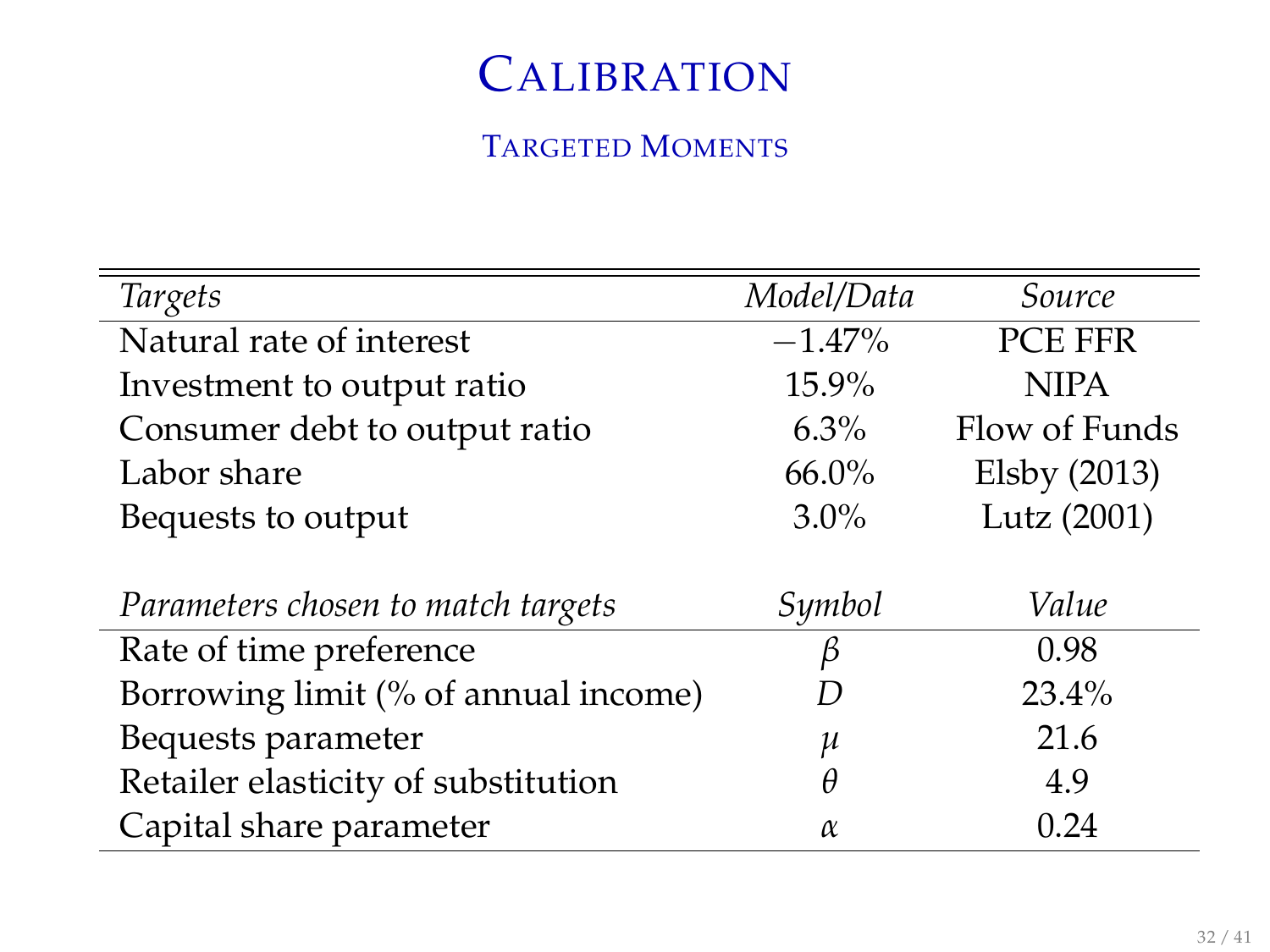# **CALIBRATION**

#### TARGETED MOMENTS

| Targets                              | Model/Data | Source         |  |
|--------------------------------------|------------|----------------|--|
| Natural rate of interest             | $-1.47%$   | <b>PCE FFR</b> |  |
| Investment to output ratio           | 15.9%      | <b>NIPA</b>    |  |
| Consumer debt to output ratio        | $6.3\%$    | Flow of Funds  |  |
| Labor share                          | $66.0\%$   | Elsby $(2013)$ |  |
| Bequests to output                   | $3.0\%$    | Lutz (2001)    |  |
|                                      |            |                |  |
| Parameters chosen to match targets   | Symbol     | Value          |  |
| Rate of time preference              | ß          | 0.98           |  |
| Borrowing limit (% of annual income) | I)         | $23.4\%$       |  |
| Bequests parameter                   | μ          | 21.6           |  |
| Retailer elasticity of substitution  | θ          | 4.9            |  |
| Capital share parameter              | $\alpha$   | 0.24           |  |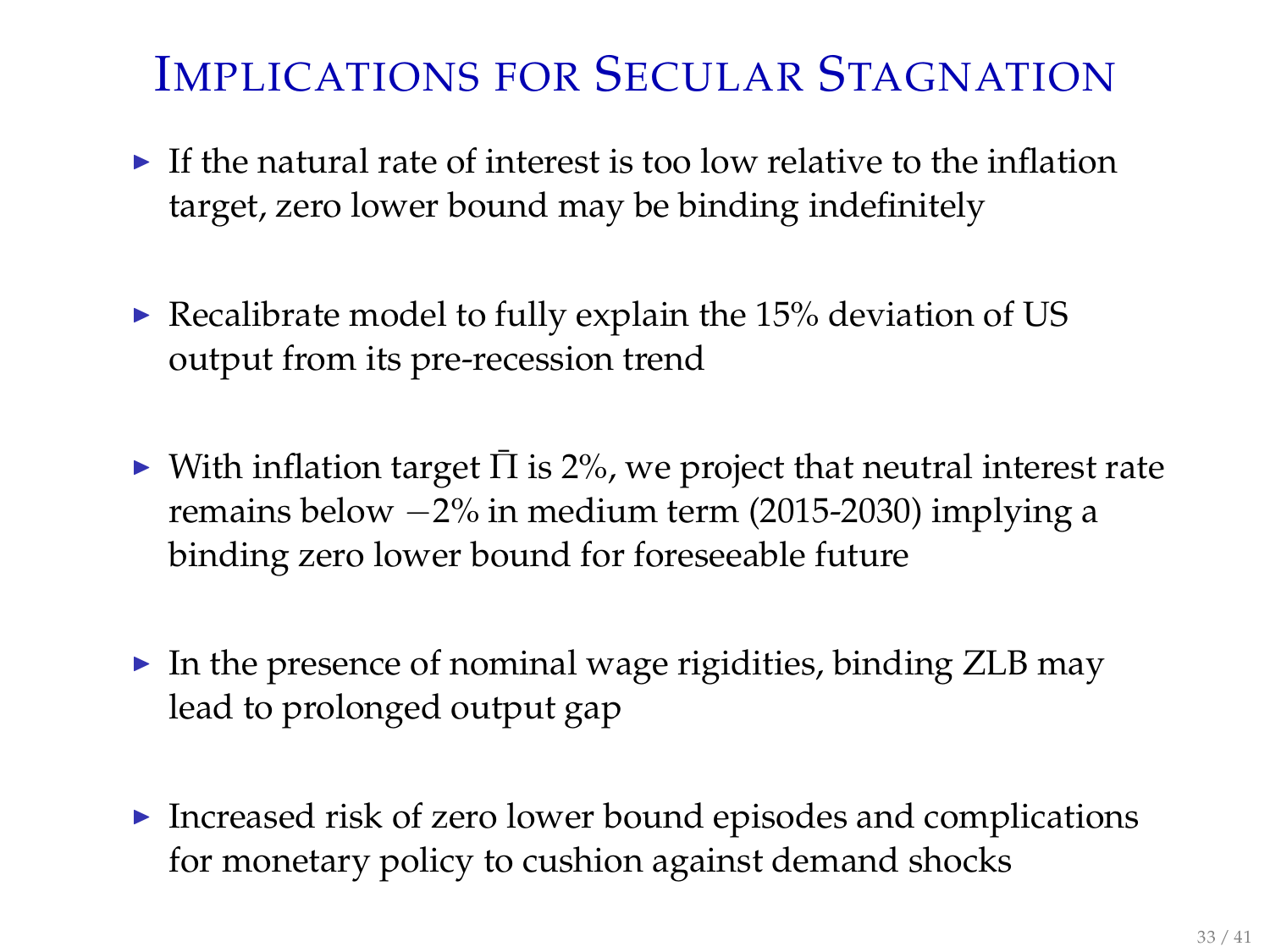# IMPLICATIONS FOR SECULAR STAGNATION

- $\blacktriangleright$  If the natural rate of interest is too low relative to the inflation target, zero lower bound may be binding indefinitely
- Recalibrate model to fully explain the 15% deviation of US output from its pre-recession trend
- $\triangleright$  With inflation target  $\bar{\Pi}$  is 2%, we project that neutral interest rate remains below −2% in medium term (2015-2030) implying a binding zero lower bound for foreseeable future
- $\blacktriangleright$  In the presence of nominal wage rigidities, binding ZLB may lead to prolonged output gap
- Increased risk of zero lower bound episodes and complications for monetary policy to cushion against demand shocks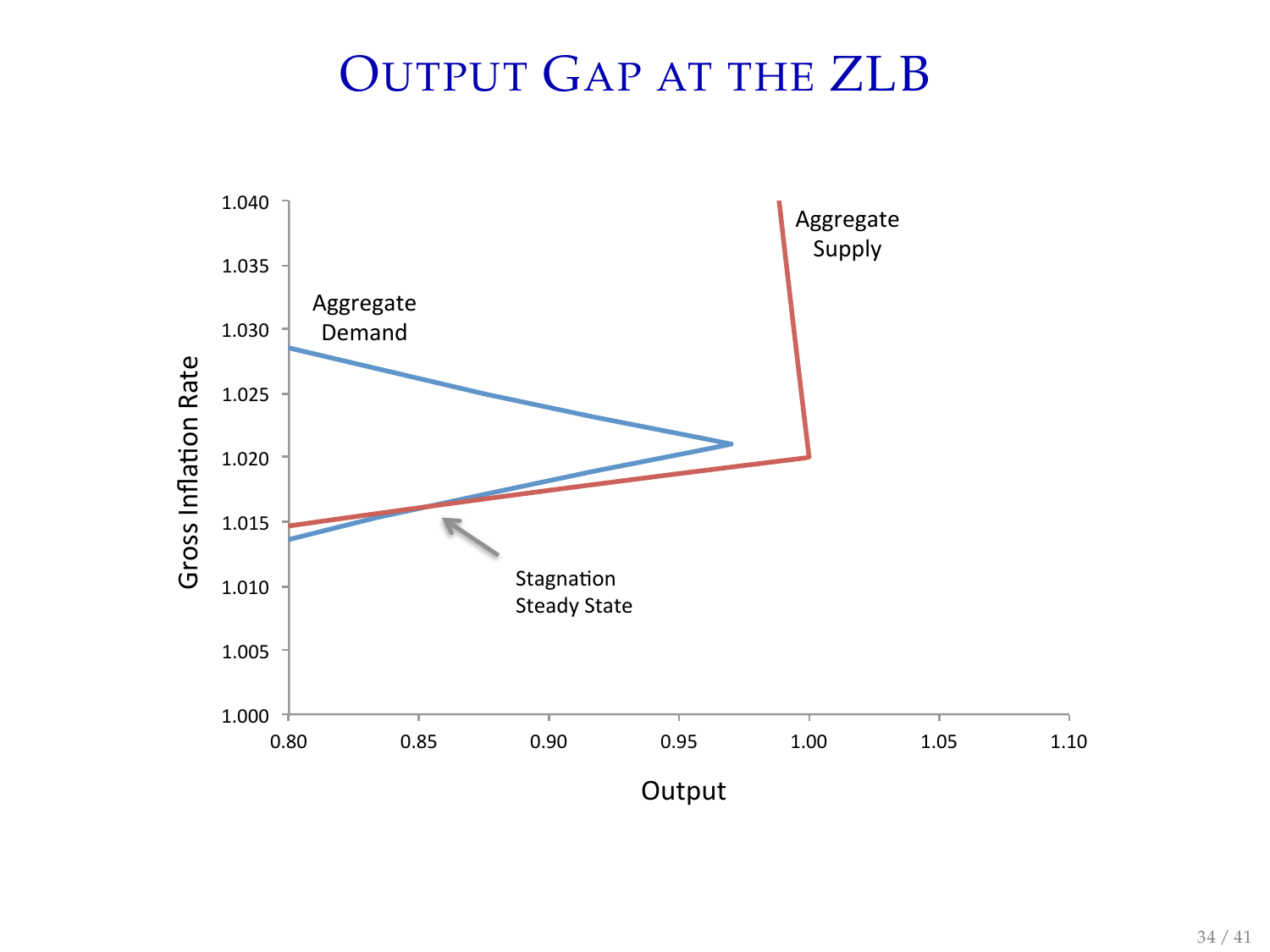# OUTPUT GAP AT THE ZLB

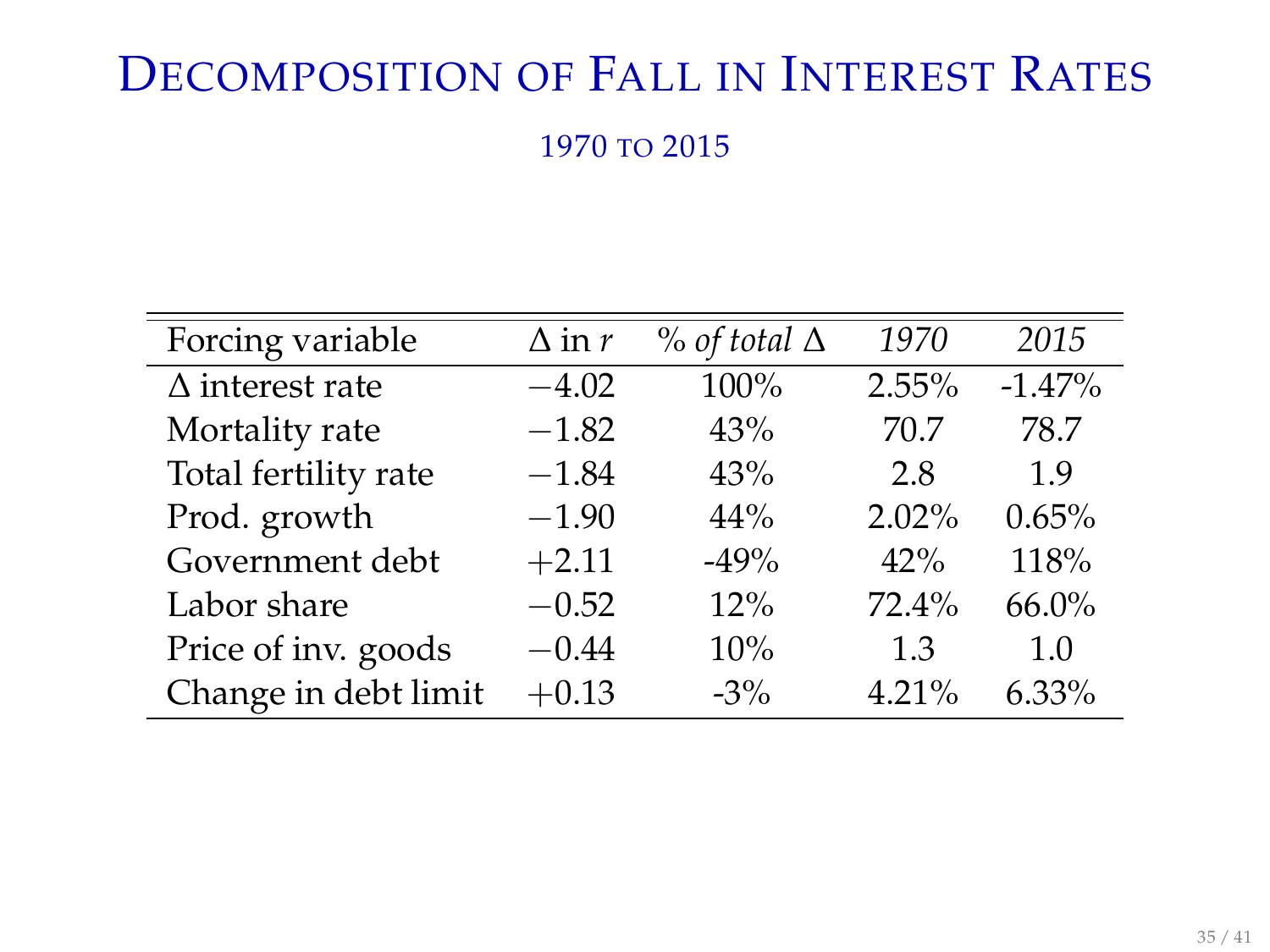# DECOMPOSITION OF FALL IN INTEREST RATES

1970 TO 2015

| Forcing variable       | $\Delta$ in r | $\%$ of total $\Delta$ | 1970     | 2015     |
|------------------------|---------------|------------------------|----------|----------|
| $\Delta$ interest rate | $-4.02$       | 100%                   | 2.55%    | $-1.47%$ |
| Mortality rate         | $-1.82$       | 43%                    | 70.7     | 78.7     |
| Total fertility rate   | $-1.84$       | 43%                    | 2.8      | 1.9      |
| Prod. growth           | $-1.90$       | 44%                    | $2.02\%$ | 0.65%    |
| Government debt        | $+2.11$       | $-49%$                 | 42%      | 118%     |
| Labor share            | $-0.52$       | 12%                    | 72.4%    | 66.0%    |
| Price of inv. goods    | $-0.44$       | 10%                    | 1.3      | 1.0      |
| Change in debt limit   | $+0.13$       | $-3\%$                 | 4.21%    | 6.33%    |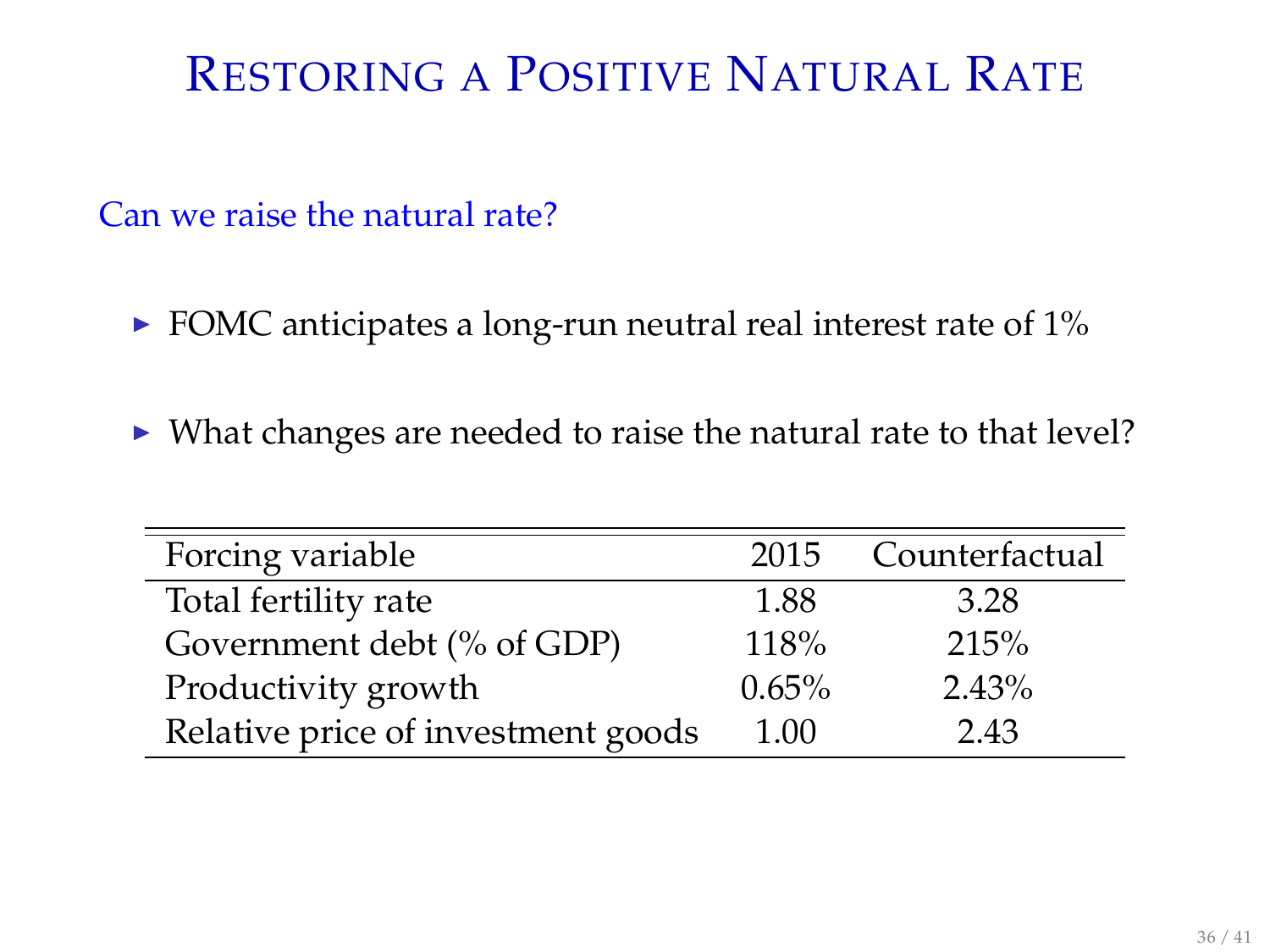# RESTORING A POSITIVE NATURAL RATE

Can we raise the natural rate?

- $\triangleright$  FOMC anticipates a long-run neutral real interest rate of 1%
- $\triangleright$  What changes are needed to raise the natural rate to that level?

|                                    | 2015  | Counterfactual |
|------------------------------------|-------|----------------|
| Forcing variable                   |       |                |
| Total fertility rate               | 1.88  | 3.28           |
| Government debt (% of GDP)         | 118%  | 215%           |
| Productivity growth                | 0.65% | $2.43\%$       |
| Relative price of investment goods | 1.00  | 243            |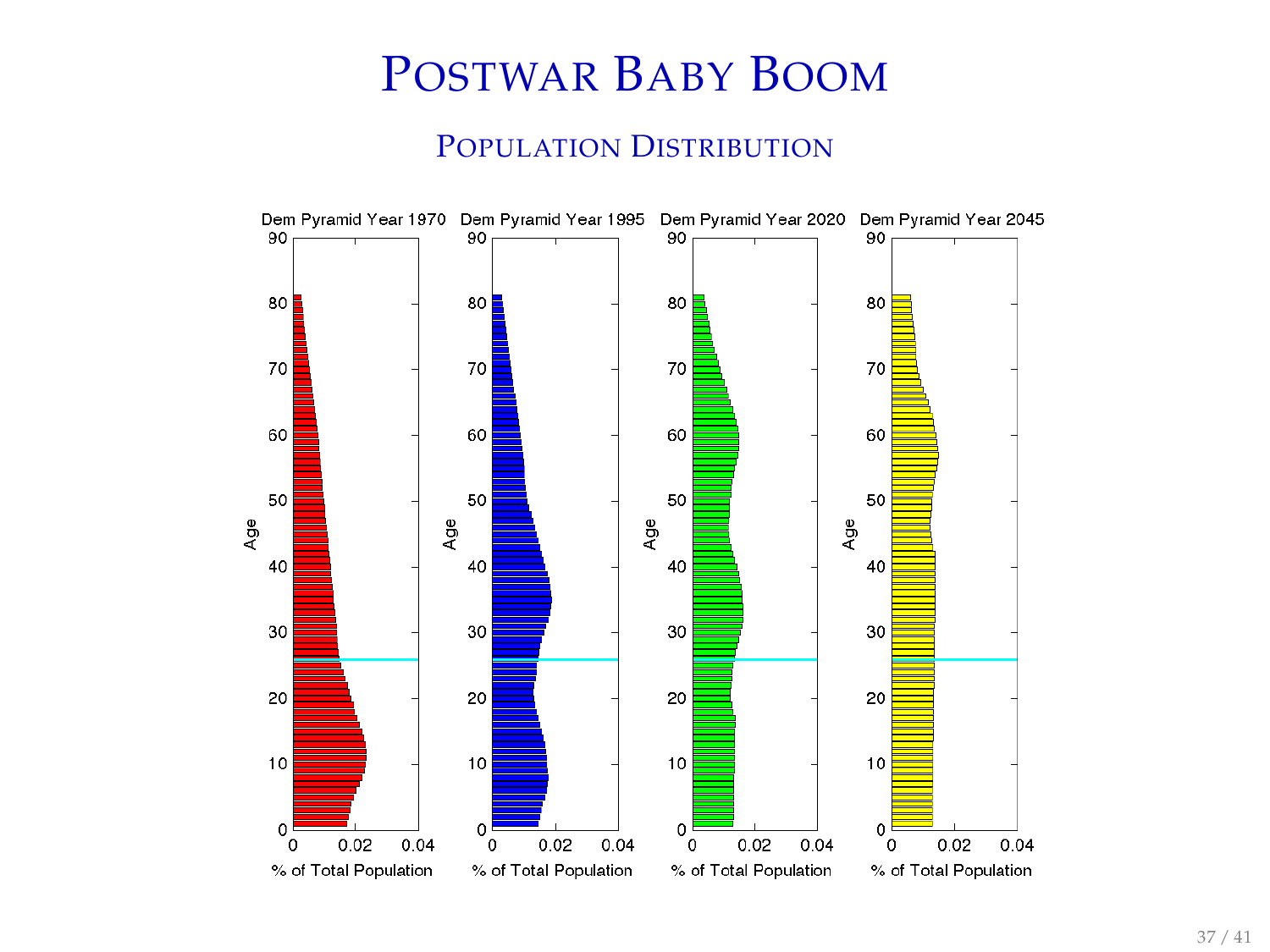# POSTWAR BABY BOOM

#### POPULATION DISTRIBUTION

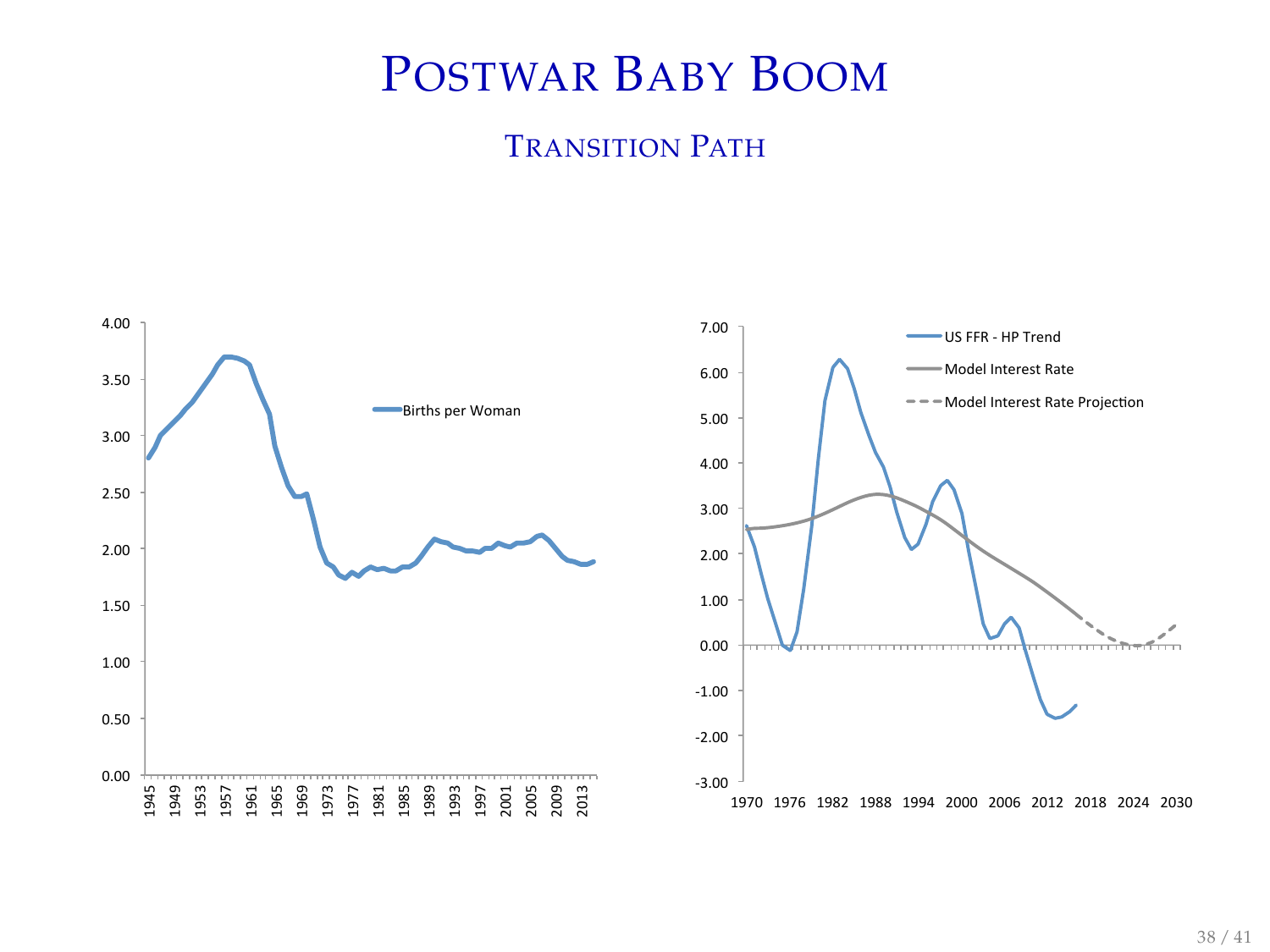# POSTWAR BABY BOOM

#### TRANSITION PATH

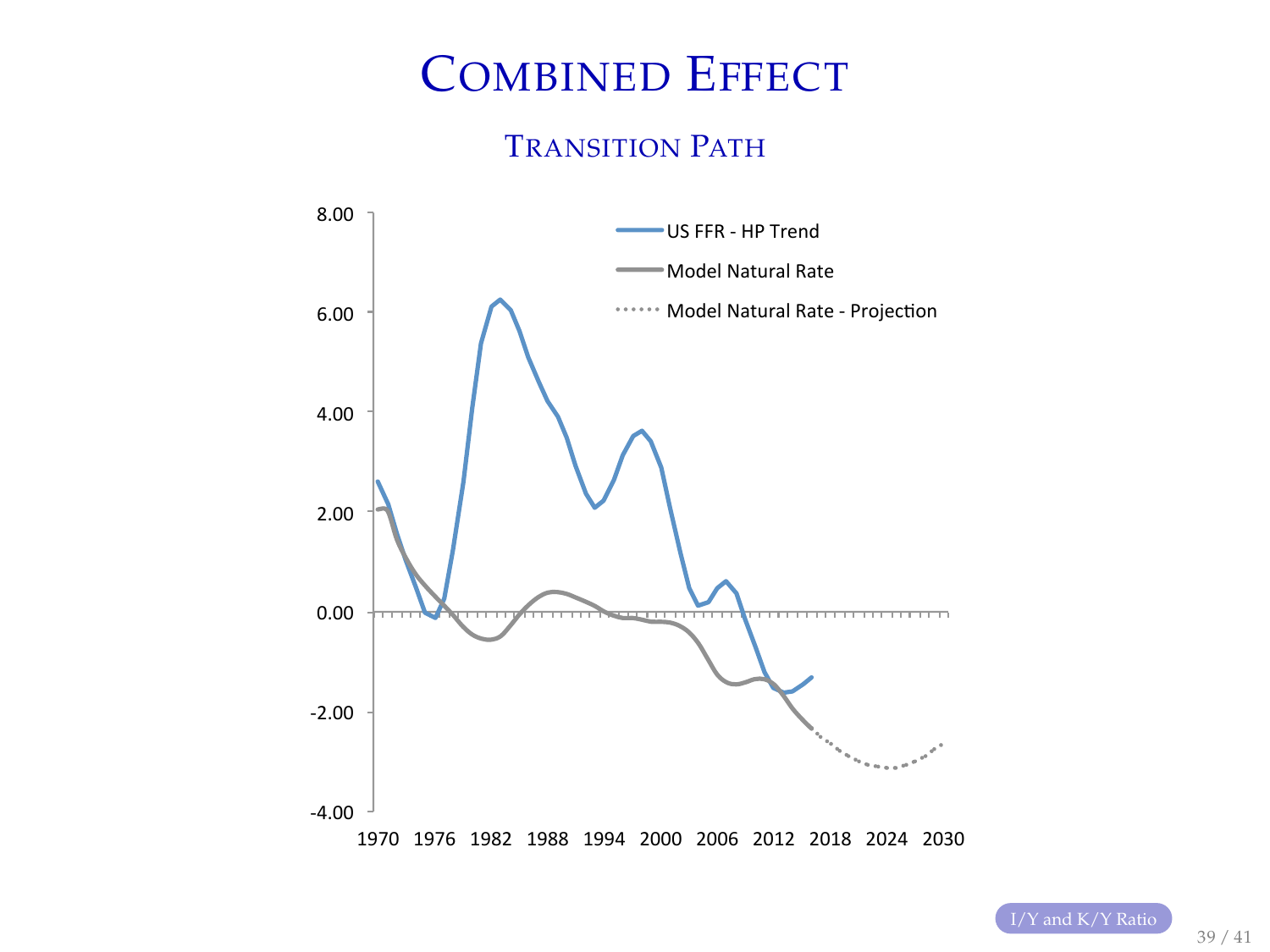# COMBINED EFFECT

#### TRANSITION PATH

<span id="page-38-0"></span>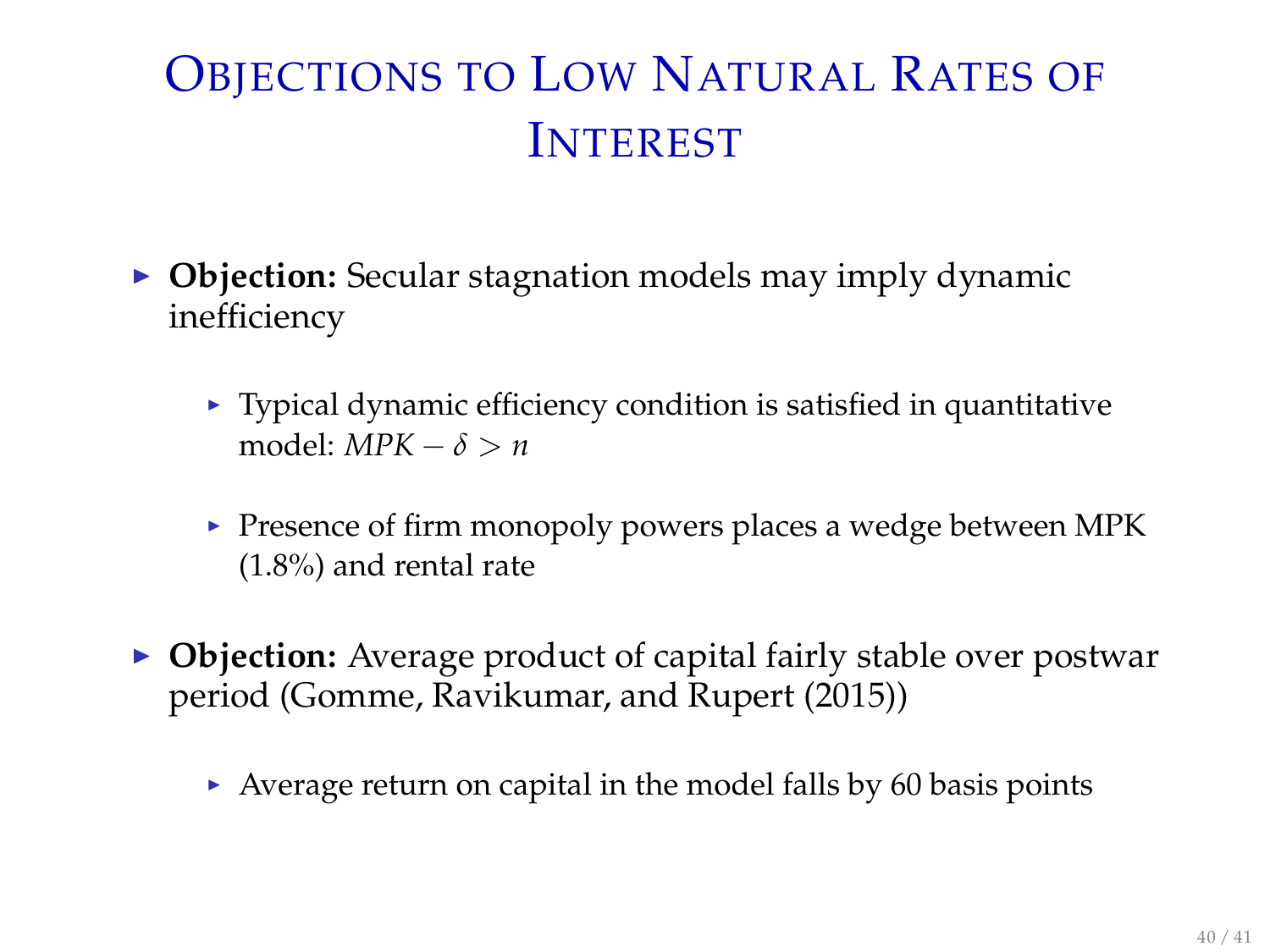# OBJECTIONS TO LOW NATURAL RATES OF INTEREST

- ▶ Objection: Secular stagnation models may imply dynamic inefficiency
	- $\blacktriangleright$  Typical dynamic efficiency condition is satisfied in quantitative model:  $MPK - \delta > n$
	- $\blacktriangleright$  Presence of firm monopoly powers places a wedge between MPK (1.8%) and rental rate
- ▶ Objection: Average product of capital fairly stable over postwar period (Gomme, Ravikumar, and Rupert (2015))
	- $\triangleright$  Average return on capital in the model falls by 60 basis points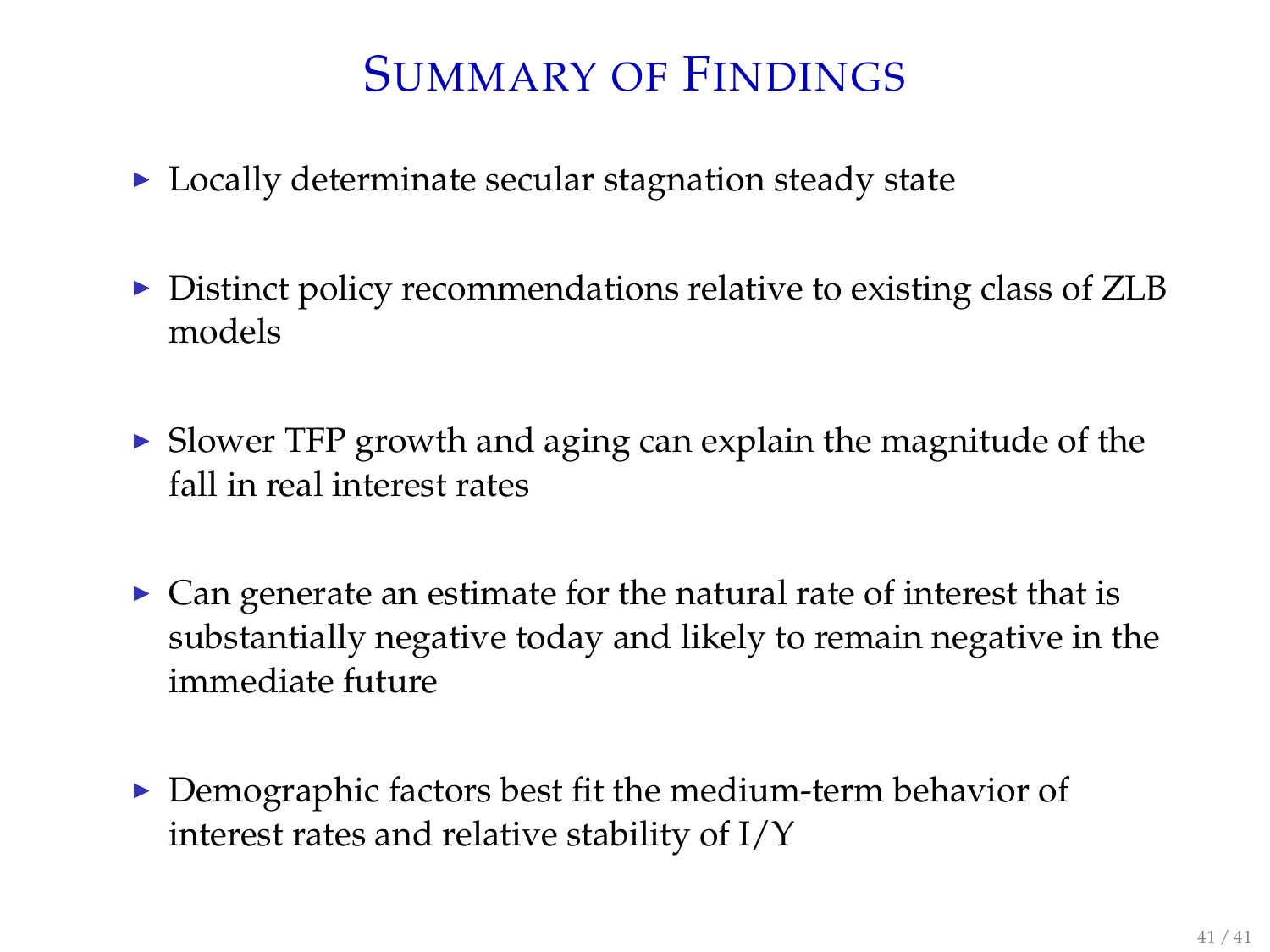# SUMMARY OF FINDINGS

- $\triangleright$  Locally determinate secular stagnation steady state
- $\triangleright$  Distinct policy recommendations relative to existing class of ZLB models
- $\triangleright$  Slower TFP growth and aging can explain the magnitude of the fall in real interest rates
- $\triangleright$  Can generate an estimate for the natural rate of interest that is substantially negative today and likely to remain negative in the immediate future
- $\triangleright$  Demographic factors best fit the medium-term behavior of interest rates and relative stability of I/Y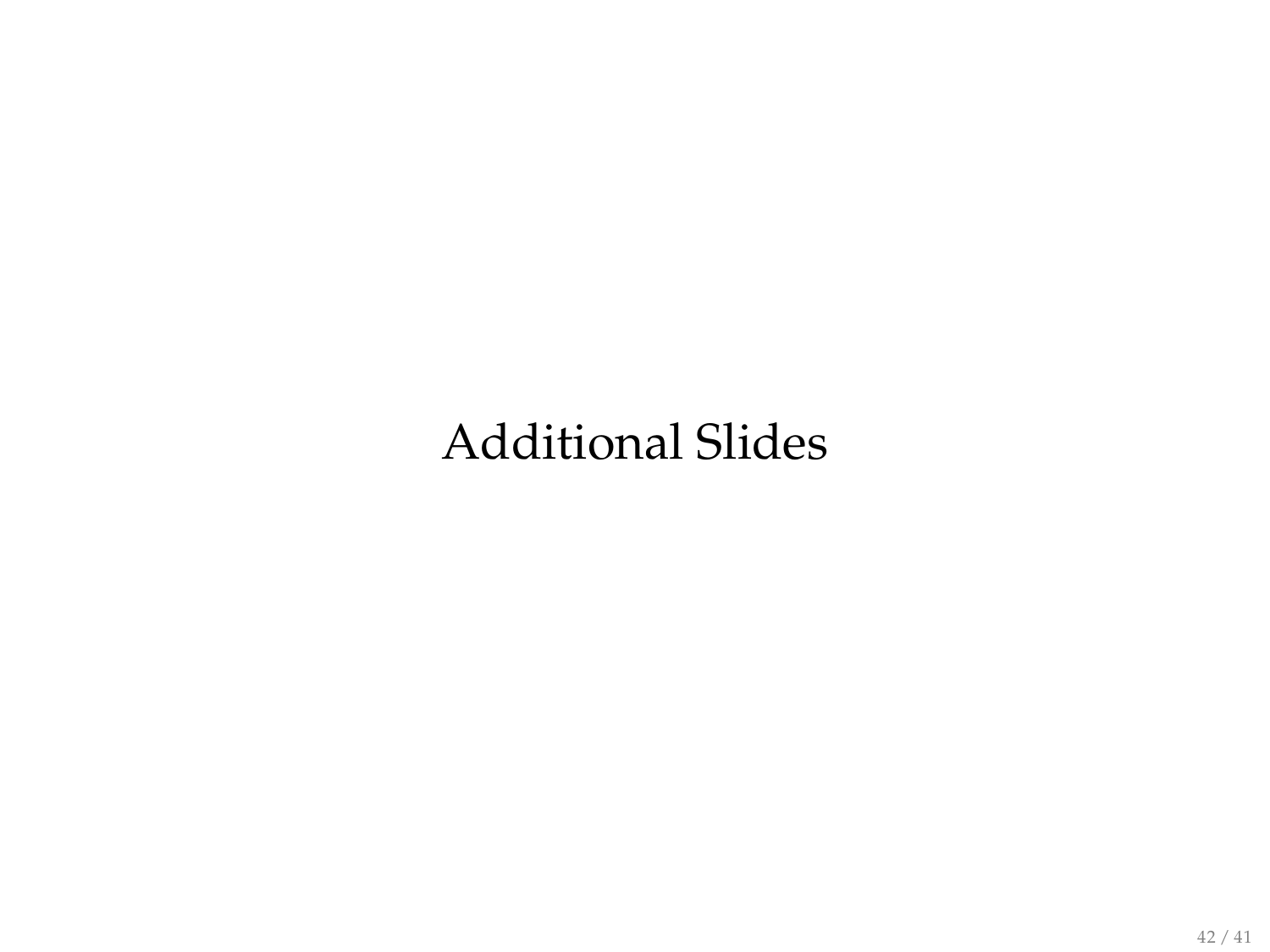# Additional Slides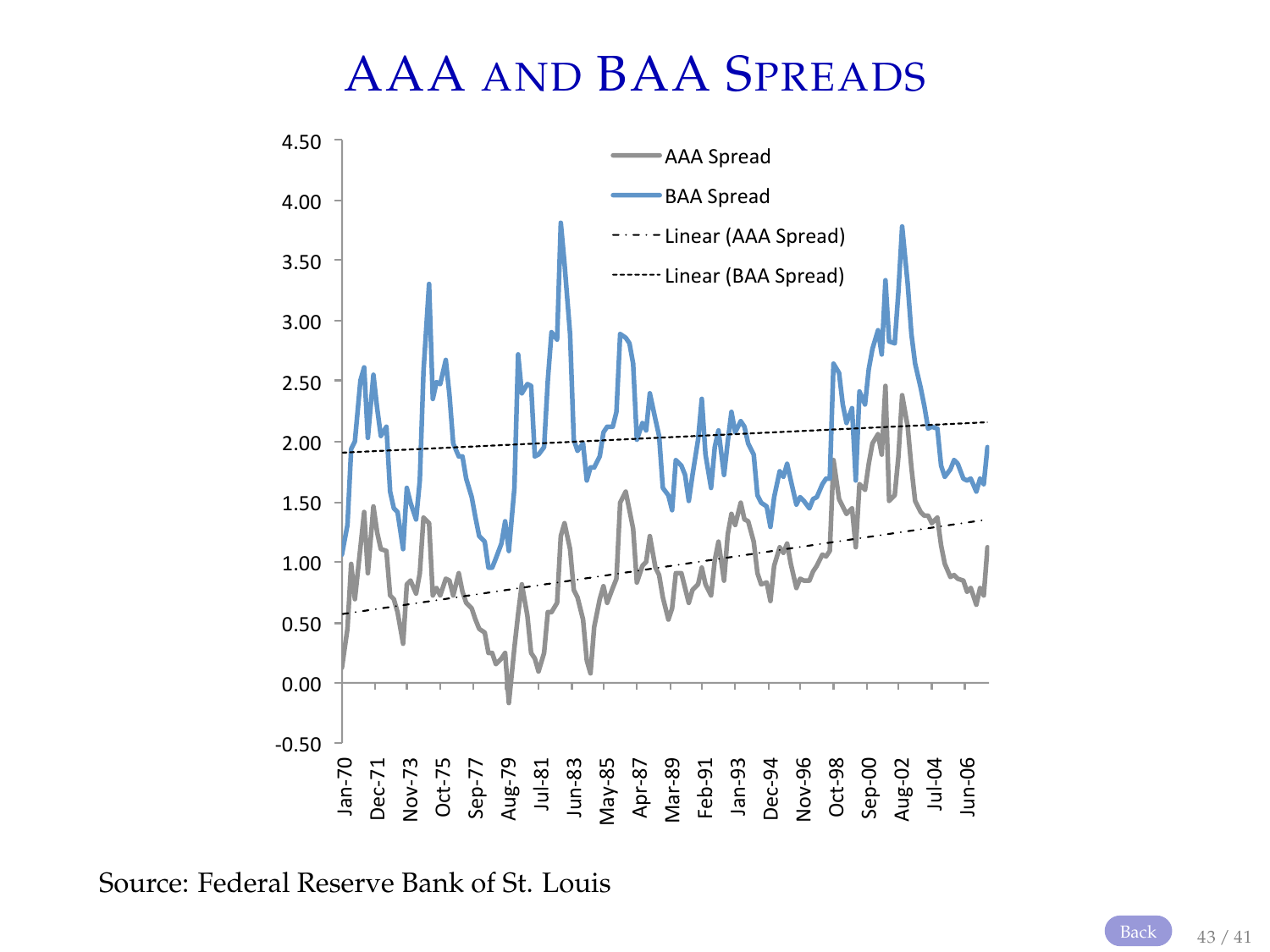### AAA AND BAA SPREADS

<span id="page-42-0"></span>

Source: Federal Reserve Bank of St. Louis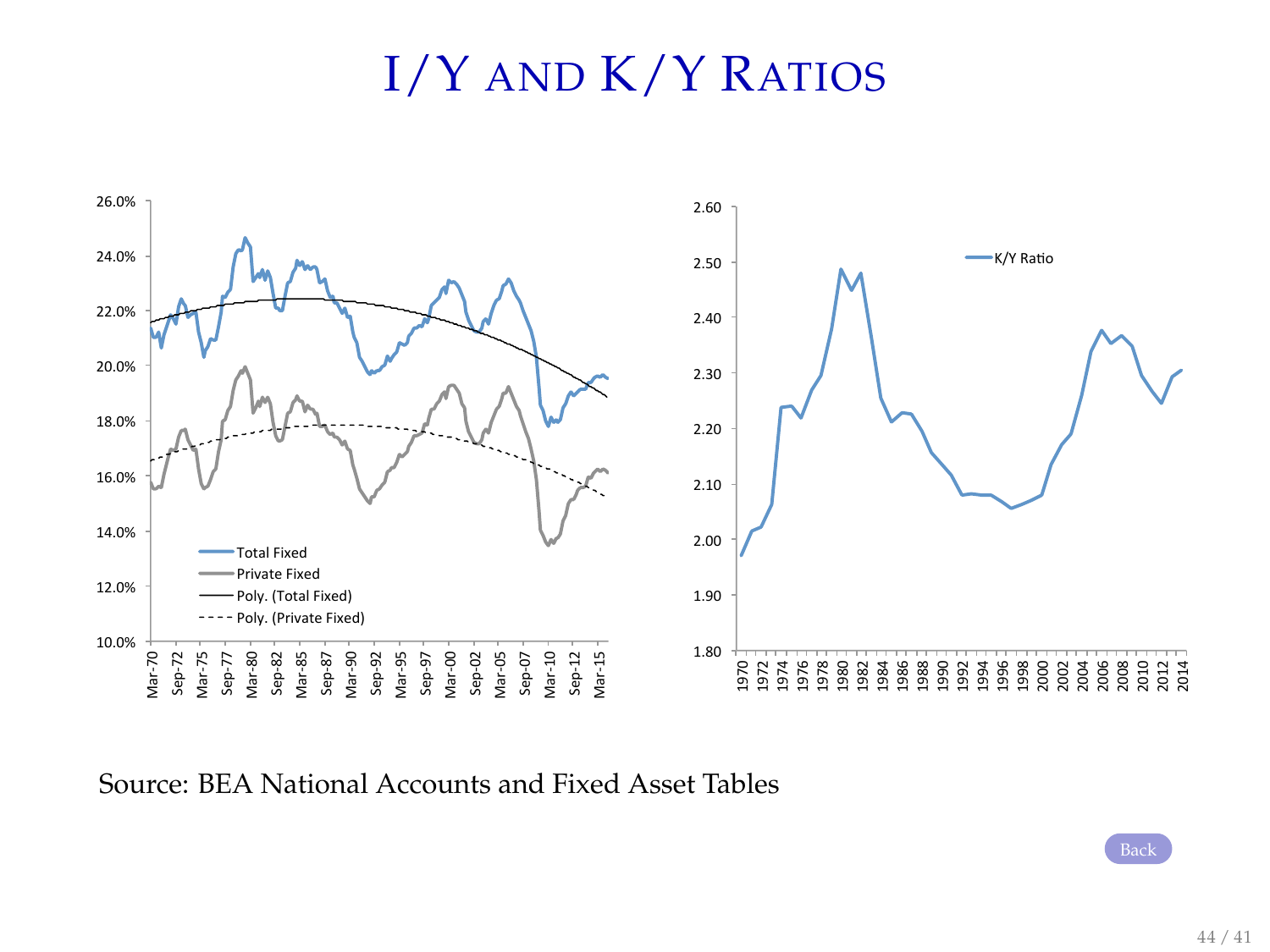# I/Y AND K/Y RATIOS



Source: BEA National Accounts and Fixed Asset Tables

[Back](#page-0-0)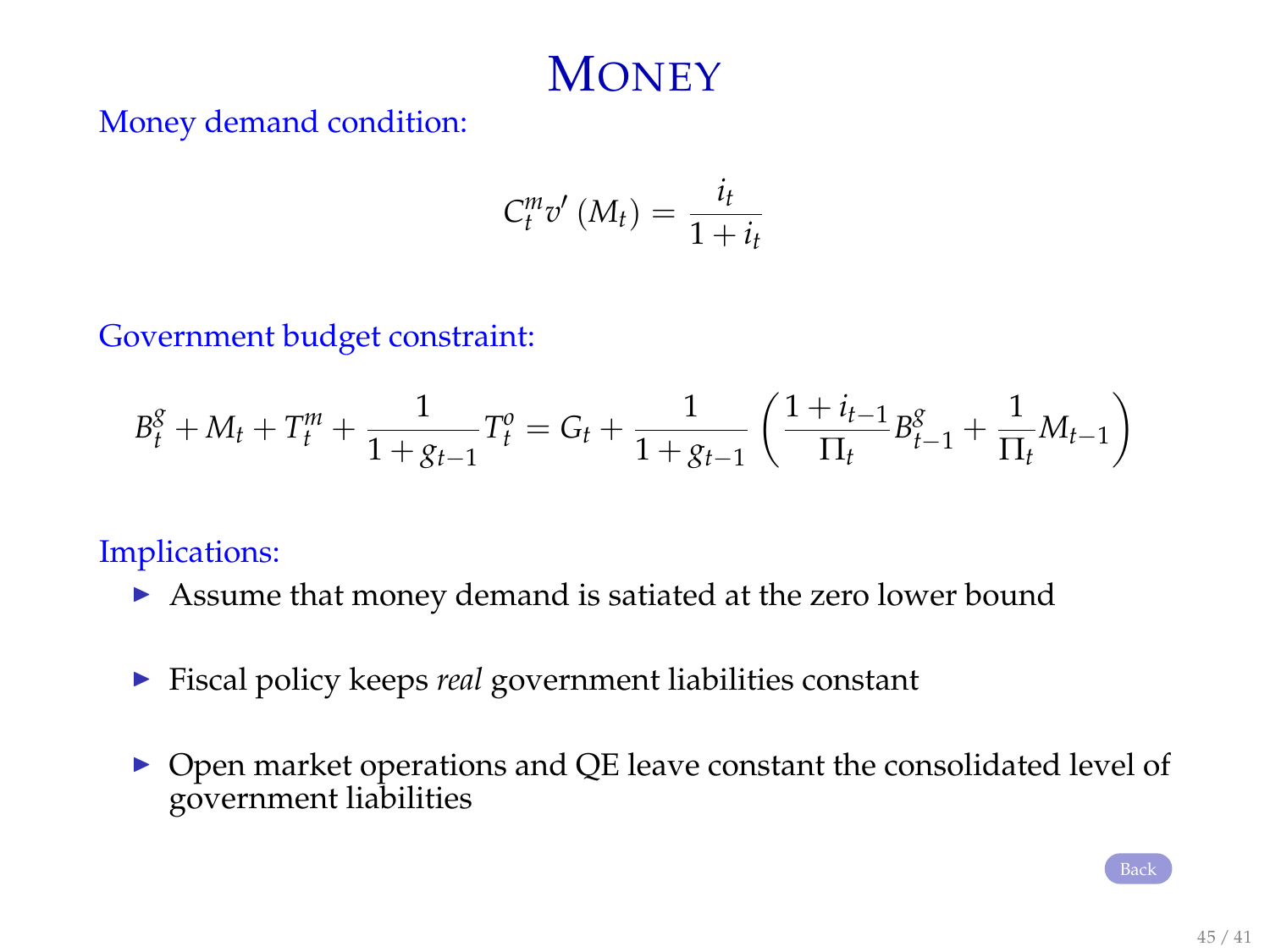# **MONEY**

<span id="page-44-0"></span>Money demand condition:

$$
C_t^m v'\left(M_t\right) = \frac{i_t}{1+i_t}
$$

Government budget constraint:

$$
B_t^g + M_t + T_t^m + \frac{1}{1 + g_{t-1}} T_t^o = G_t + \frac{1}{1 + g_{t-1}} \left( \frac{1 + i_{t-1}}{\Pi_t} B_{t-1}^g + \frac{1}{\Pi_t} M_{t-1} \right)
$$

Implications:

- **In Assume that money demand is satiated at the zero lower bound**
- <sup>I</sup> Fiscal policy keeps *real* government liabilities constant
- $\triangleright$  Open market operations and QE leave constant the consolidated level of government liabilities

[Back](#page-8-0)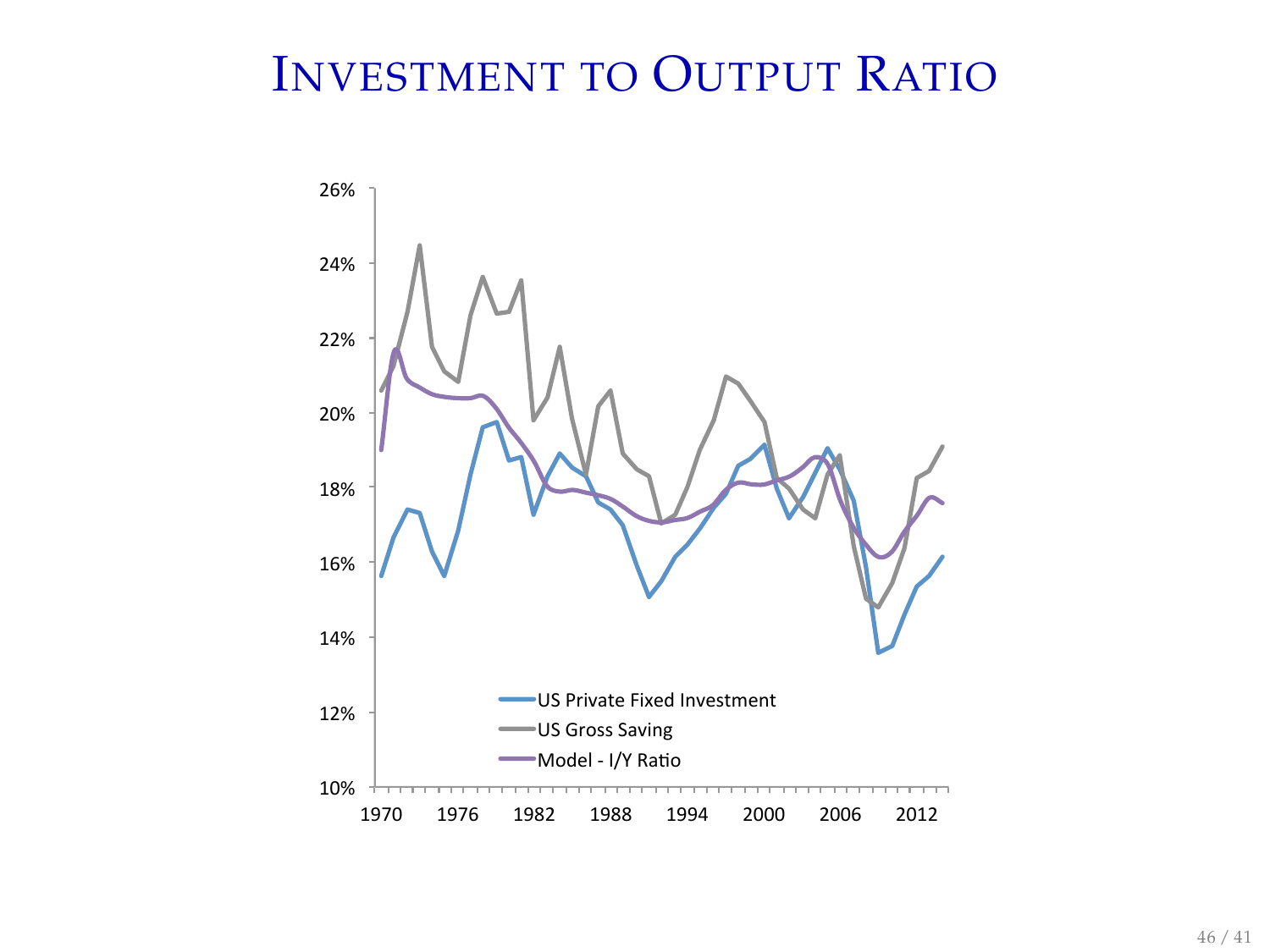# INVESTMENT TO OUTPUT RATIO

<span id="page-45-0"></span>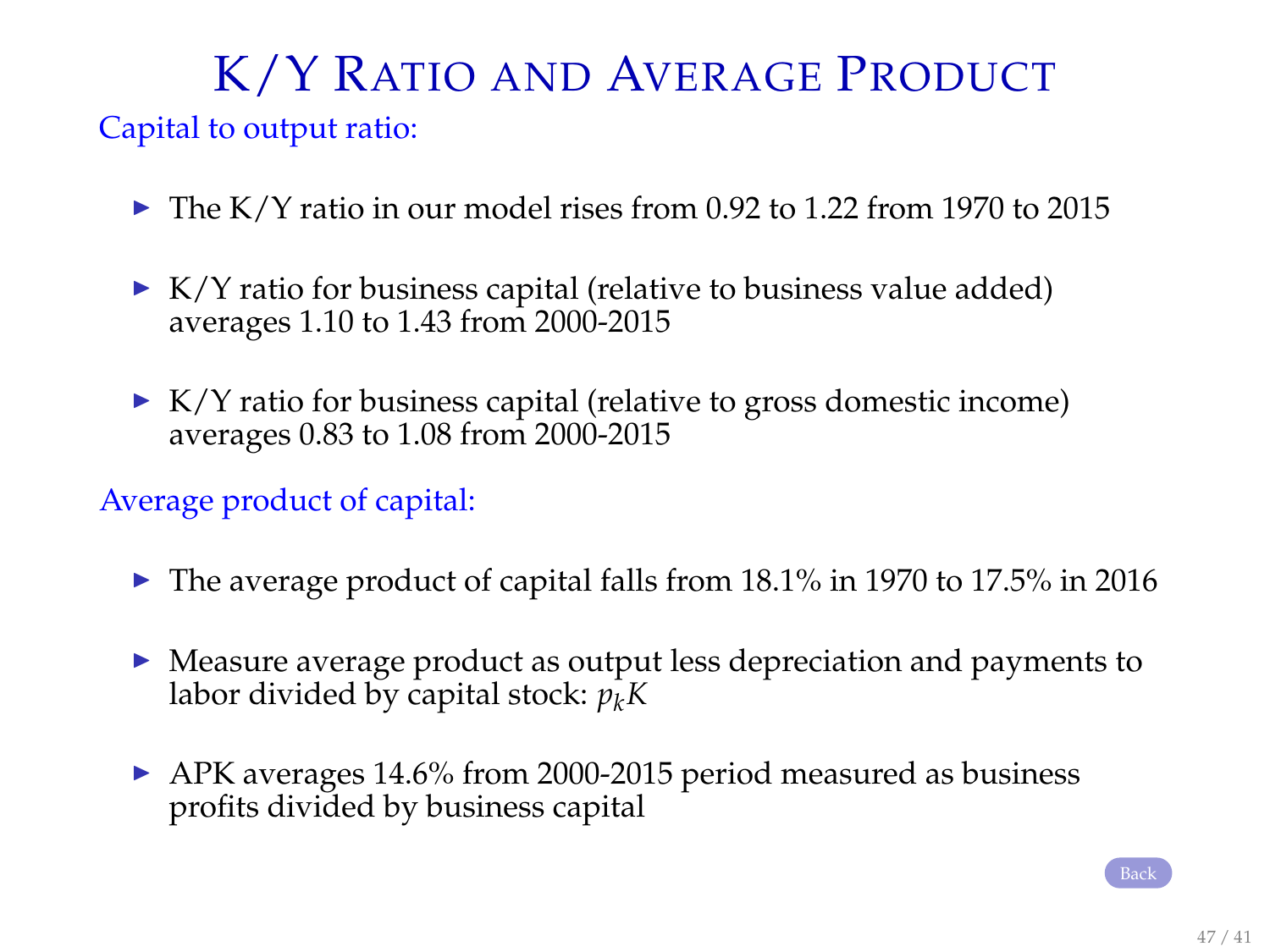# K/Y RATIO AND AVERAGE PRODUCT

#### Capital to output ratio:

- $\blacktriangleright$  The K/Y ratio in our model rises from 0.92 to 1.22 from 1970 to 2015
- $\triangleright$  K/Y ratio for business capital (relative to business value added) averages 1.10 to 1.43 from 2000-2015
- $\triangleright$  K/Y ratio for business capital (relative to gross domestic income) averages 0.83 to 1.08 from 2000-2015

#### Average product of capital:

- $\blacktriangleright$  The average product of capital falls from 18.1% in 1970 to 17.5% in 2016
- $\blacktriangleright$  Measure average product as output less depreciation and payments to labor divided by capital stock: *pkK*
- $\blacktriangleright$  APK averages 14.6% from 2000-2015 period measured as business profits divided by business capital

[Back](#page-38-0)